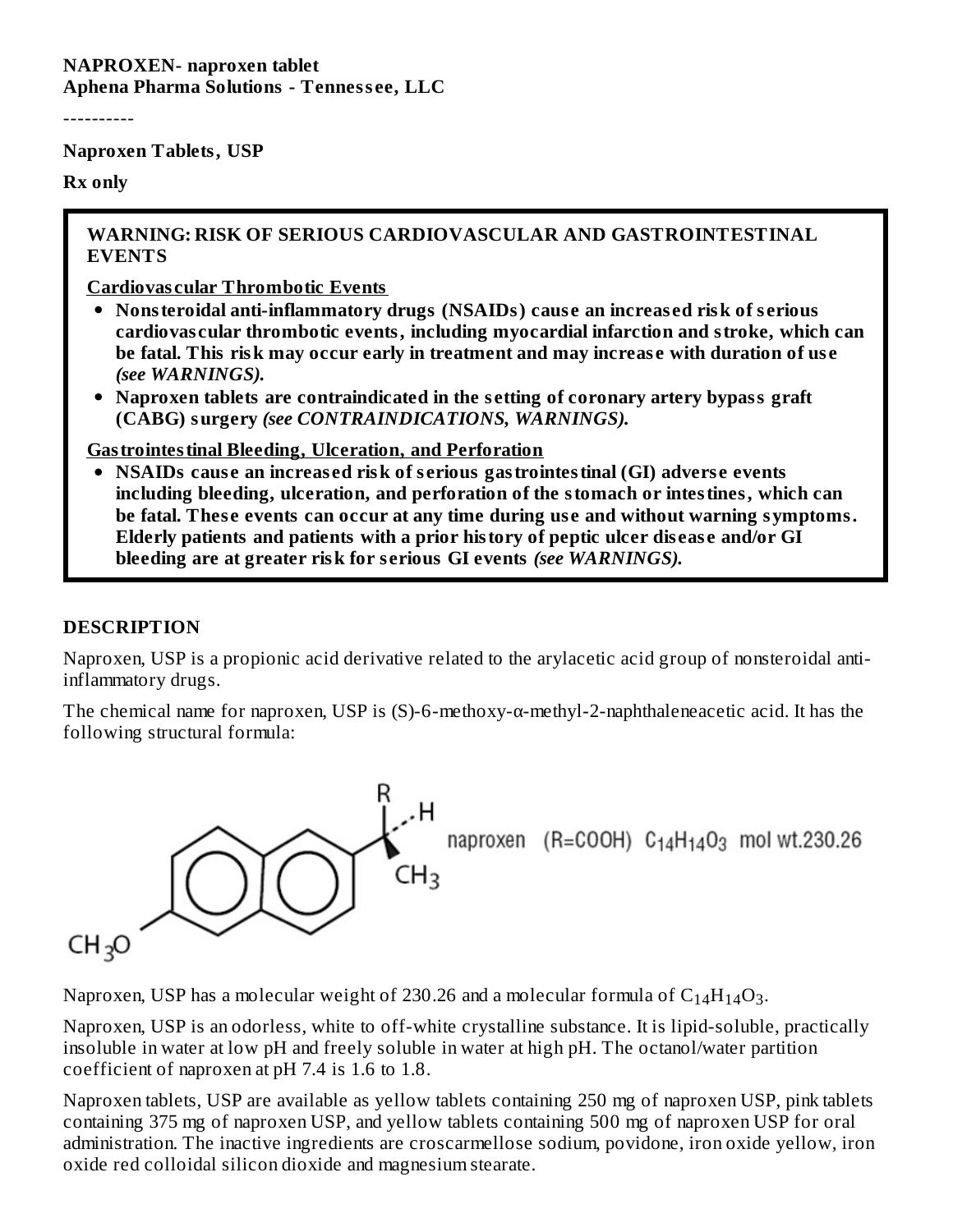### **NAPROXEN- naproxen tablet Aphena Pharma Solutions - Tenness ee, LLC**

----------

### **Naproxen Tablets, USP**

#### **Rx only**

### **WARNING: RISK OF SERIOUS CARDIOVASCULAR AND GASTROINTESTINAL EVENTS**

**Cardiovas cular Thrombotic Events**

- **Nonsteroidal anti-inflammatory drugs (NSAIDs) caus e an increas ed risk of s erious cardiovas cular thrombotic events, including myocardial infarction and stroke, which can be fatal. This risk may occur early in treatment and may increas e with duration of us e** *(see WARNINGS).*
- **Naproxen tablets are contraindicated in the s etting of coronary artery bypass graft (CABG) surgery** *(see CONTRAINDICATIONS, WARNINGS).*

**Gastrointestinal Bleeding, Ulceration, and Perforation**

**NSAIDs caus e an increas ed risk of s erious gastrointestinal (GI) advers e events including bleeding, ulceration, and perforation of the stomach or intestines, which can be fatal. Thes e events can occur at any time during us e and without warning symptoms. Elderly patients and patients with a prior history of peptic ulcer dis eas e and/or GI bleeding are at greater risk for s erious GI events** *(see WARNINGS).*

### **DESCRIPTION**

Naproxen, USP is a propionic acid derivative related to the arylacetic acid group of nonsteroidal antiinflammatory drugs.

The chemical name for naproxen, USP is (S)-6-methoxy-α-methyl-2-naphthaleneacetic acid. It has the following structural formula:



Naproxen, USP has a molecular weight of 230.26 and a molecular formula of  $\rm{C_{14}H_{14}O_3.}$ 

Naproxen, USP is an odorless, white to off-white crystalline substance. It is lipid-soluble, practically insoluble in water at low pH and freely soluble in water at high pH. The octanol/water partition coefficient of naproxen at pH 7.4 is 1.6 to 1.8.

Naproxen tablets, USP are available as yellow tablets containing 250 mg of naproxen USP, pink tablets containing 375 mg of naproxen USP, and yellow tablets containing 500 mg of naproxen USP for oral administration. The inactive ingredients are croscarmellose sodium, povidone, iron oxide yellow, iron oxide red colloidal silicon dioxide and magnesium stearate.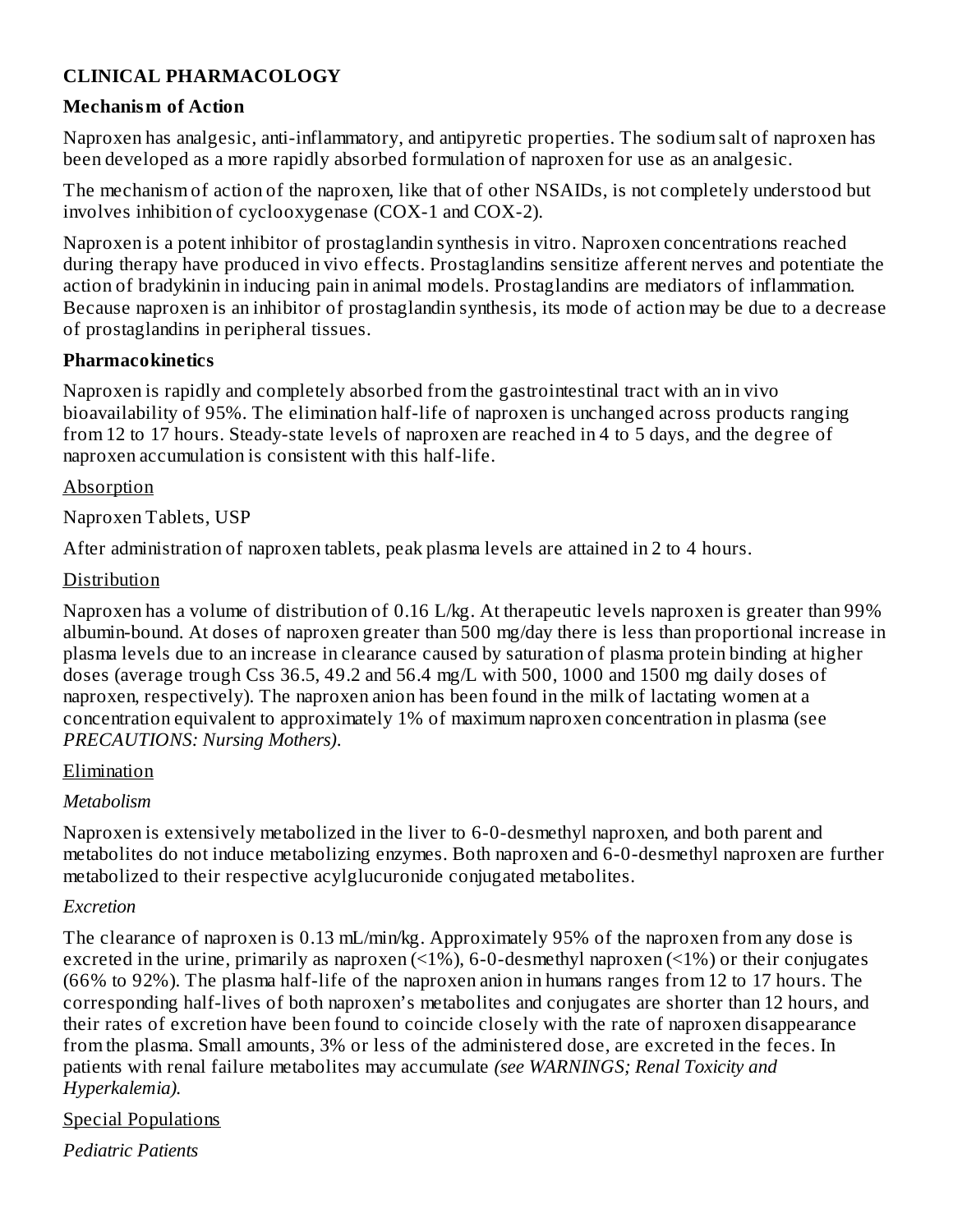# **CLINICAL PHARMACOLOGY**

### **Mechanism of Action**

Naproxen has analgesic, anti-inflammatory, and antipyretic properties. The sodium salt of naproxen has been developed as a more rapidly absorbed formulation of naproxen for use as an analgesic.

The mechanism of action of the naproxen, like that of other NSAIDs, is not completely understood but involves inhibition of cyclooxygenase (COX-1 and COX-2).

Naproxen is a potent inhibitor of prostaglandin synthesis in vitro. Naproxen concentrations reached during therapy have produced in vivo effects. Prostaglandins sensitize afferent nerves and potentiate the action of bradykinin in inducing pain in animal models. Prostaglandins are mediators of inflammation. Because naproxen is an inhibitor of prostaglandin synthesis, its mode of action may be due to a decrease of prostaglandins in peripheral tissues.

### **Pharmacokinetics**

Naproxen is rapidly and completely absorbed from the gastrointestinal tract with an in vivo bioavailability of 95%. The elimination half-life of naproxen is unchanged across products ranging from 12 to 17 hours. Steady-state levels of naproxen are reached in 4 to 5 days, and the degree of naproxen accumulation is consistent with this half-life.

### **Absorption**

Naproxen Tablets, USP

After administration of naproxen tablets, peak plasma levels are attained in 2 to 4 hours.

### Distribution

Naproxen has a volume of distribution of 0.16 L/kg. At therapeutic levels naproxen is greater than 99% albumin-bound. At doses of naproxen greater than 500 mg/day there is less than proportional increase in plasma levels due to an increase in clearance caused by saturation of plasma protein binding at higher doses (average trough Css 36.5, 49.2 and 56.4 mg/L with 500, 1000 and 1500 mg daily doses of naproxen, respectively). The naproxen anion has been found in the milk of lactating women at a concentration equivalent to approximately 1% of maximum naproxen concentration in plasma (see *PRECAUTIONS: Nursing Mothers)*.

### Elimination

### *Metabolism*

Naproxen is extensively metabolized in the liver to 6-0-desmethyl naproxen, and both parent and metabolites do not induce metabolizing enzymes. Both naproxen and 6-0-desmethyl naproxen are further metabolized to their respective acylglucuronide conjugated metabolites.

### *Excretion*

The clearance of naproxen is 0.13 mL/min/kg. Approximately 95% of the naproxen from any dose is excreted in the urine, primarily as naproxen (<1%), 6-0-desmethyl naproxen (<1%) or their conjugates (66% to 92%). The plasma half-life of the naproxen anion in humans ranges from 12 to 17 hours. The corresponding half-lives of both naproxen's metabolites and conjugates are shorter than 12 hours, and their rates of excretion have been found to coincide closely with the rate of naproxen disappearance from the plasma. Small amounts, 3% or less of the administered dose, are excreted in the feces. In patients with renal failure metabolites may accumulate *(see WARNINGS; Renal Toxicity and Hyperkalemia).*

Special Populations *Pediatric Patients*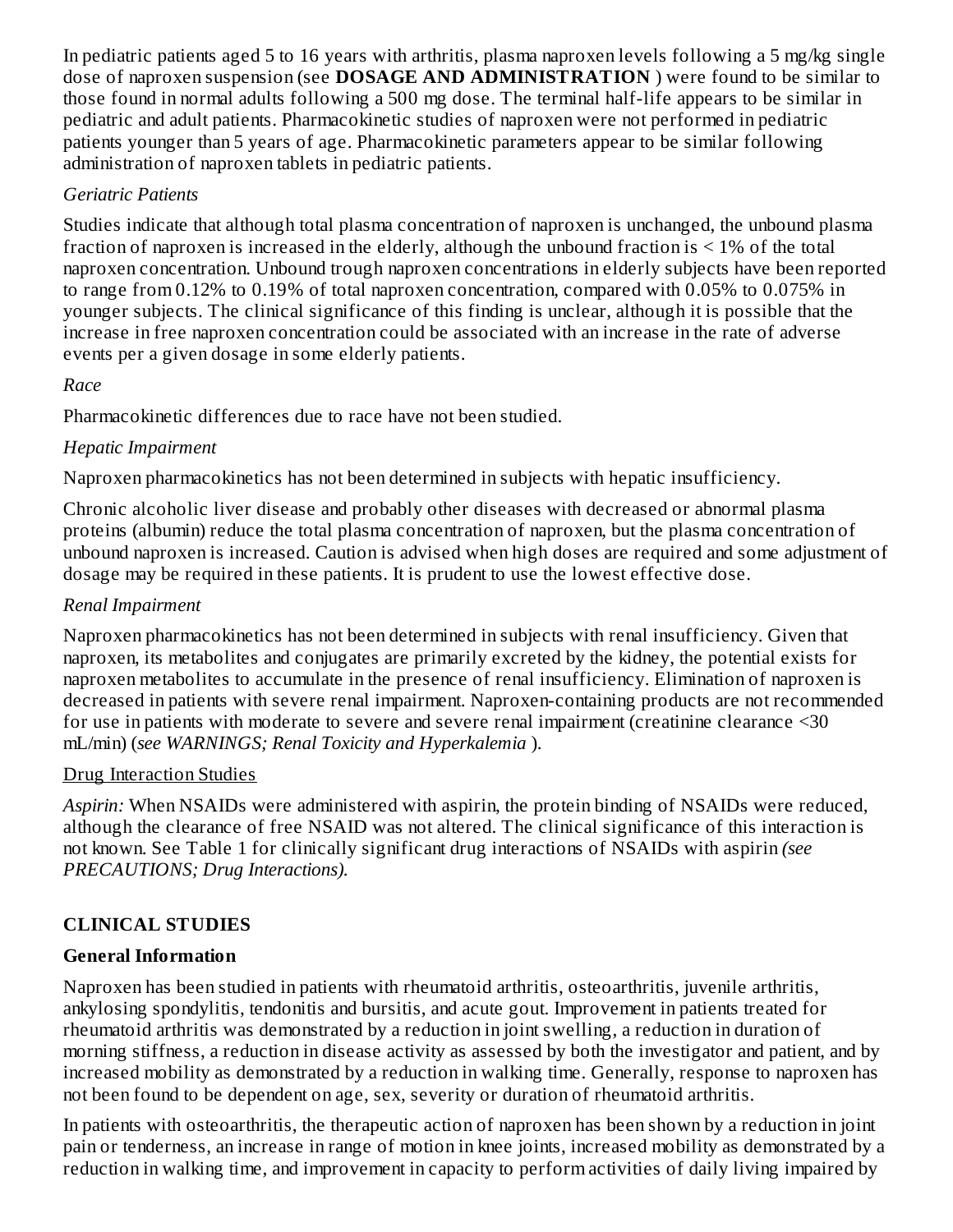In pediatric patients aged 5 to 16 years with arthritis, plasma naproxen levels following a 5 mg/kg single dose of naproxen suspension (see **DOSAGE AND ADMINISTRATION** ) were found to be similar to those found in normal adults following a 500 mg dose. The terminal half-life appears to be similar in pediatric and adult patients. Pharmacokinetic studies of naproxen were not performed in pediatric patients younger than 5 years of age. Pharmacokinetic parameters appear to be similar following administration of naproxen tablets in pediatric patients.

### *Geriatric Patients*

Studies indicate that although total plasma concentration of naproxen is unchanged, the unbound plasma fraction of naproxen is increased in the elderly, although the unbound fraction is < 1% of the total naproxen concentration. Unbound trough naproxen concentrations in elderly subjects have been reported to range from 0.12% to 0.19% of total naproxen concentration, compared with 0.05% to 0.075% in younger subjects. The clinical significance of this finding is unclear, although it is possible that the increase in free naproxen concentration could be associated with an increase in the rate of adverse events per a given dosage in some elderly patients.

### *Race*

Pharmacokinetic differences due to race have not been studied.

### *Hepatic Impairment*

Naproxen pharmacokinetics has not been determined in subjects with hepatic insufficiency.

Chronic alcoholic liver disease and probably other diseases with decreased or abnormal plasma proteins (albumin) reduce the total plasma concentration of naproxen, but the plasma concentration of unbound naproxen is increased. Caution is advised when high doses are required and some adjustment of dosage may be required in these patients. It is prudent to use the lowest effective dose.

### *Renal Impairment*

Naproxen pharmacokinetics has not been determined in subjects with renal insufficiency. Given that naproxen, its metabolites and conjugates are primarily excreted by the kidney, the potential exists for naproxen metabolites to accumulate in the presence of renal insufficiency. Elimination of naproxen is decreased in patients with severe renal impairment. Naproxen-containing products are not recommended for use in patients with moderate to severe and severe renal impairment (creatinine clearance <30 mL/min) (*see WARNINGS; Renal Toxicity and Hyperkalemia* ).

### Drug Interaction Studies

*Aspirin:* When NSAIDs were administered with aspirin, the protein binding of NSAIDs were reduced, although the clearance of free NSAID was not altered. The clinical significance of this interaction is not known. See Table 1 for clinically significant drug interactions of NSAIDs with aspirin *(see PRECAUTIONS; Drug Interactions).*

# **CLINICAL STUDIES**

# **General Information**

Naproxen has been studied in patients with rheumatoid arthritis, osteoarthritis, juvenile arthritis, ankylosing spondylitis, tendonitis and bursitis, and acute gout. Improvement in patients treated for rheumatoid arthritis was demonstrated by a reduction in joint swelling, a reduction in duration of morning stiffness, a reduction in disease activity as assessed by both the investigator and patient, and by increased mobility as demonstrated by a reduction in walking time. Generally, response to naproxen has not been found to be dependent on age, sex, severity or duration of rheumatoid arthritis.

In patients with osteoarthritis, the therapeutic action of naproxen has been shown by a reduction in joint pain or tenderness, an increase in range of motion in knee joints, increased mobility as demonstrated by a reduction in walking time, and improvement in capacity to perform activities of daily living impaired by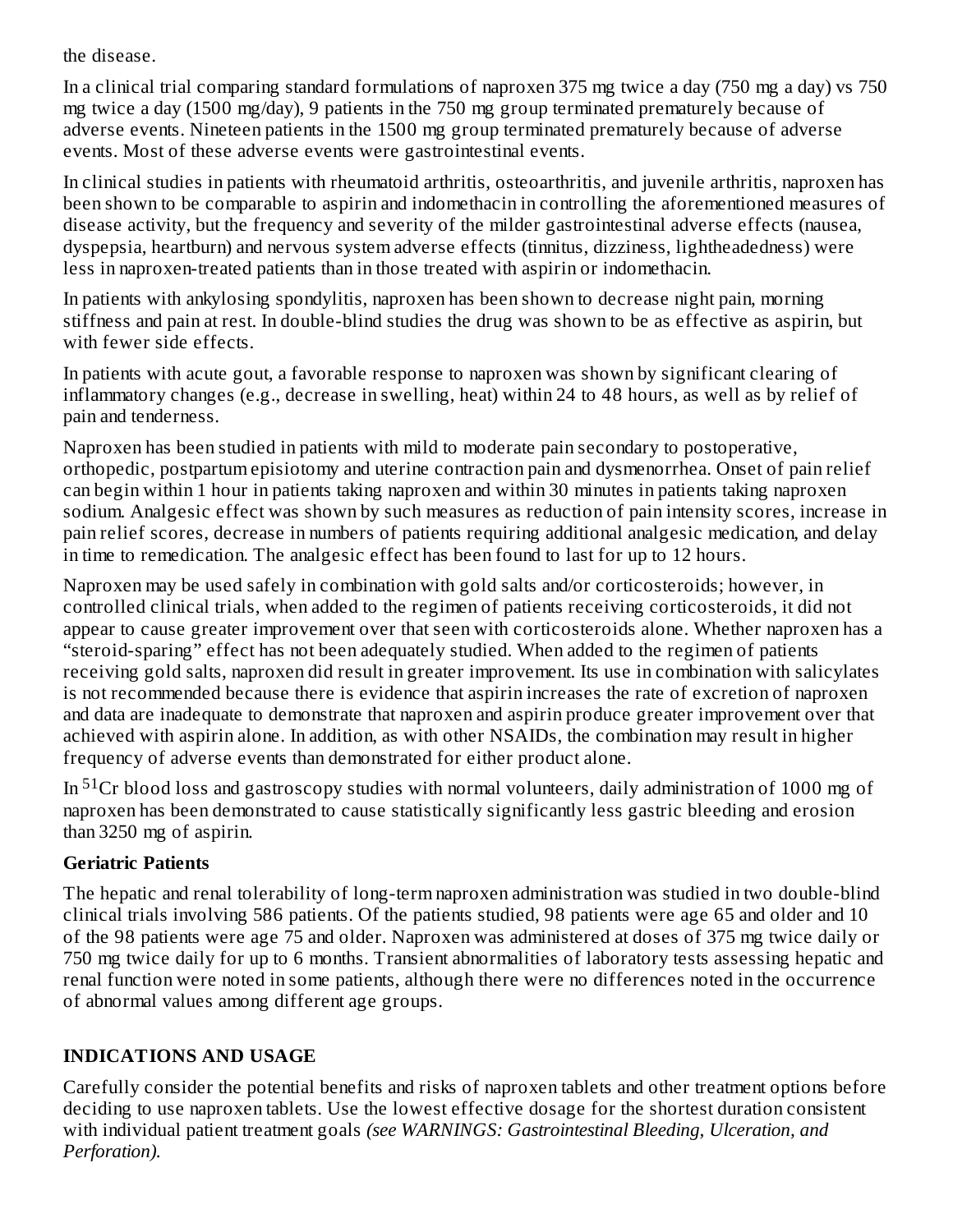the disease.

In a clinical trial comparing standard formulations of naproxen 375 mg twice a day (750 mg a day) vs 750 mg twice a day (1500 mg/day), 9 patients in the 750 mg group terminated prematurely because of adverse events. Nineteen patients in the 1500 mg group terminated prematurely because of adverse events. Most of these adverse events were gastrointestinal events.

In clinical studies in patients with rheumatoid arthritis, osteoarthritis, and juvenile arthritis, naproxen has been shown to be comparable to aspirin and indomethacin in controlling the aforementioned measures of disease activity, but the frequency and severity of the milder gastrointestinal adverse effects (nausea, dyspepsia, heartburn) and nervous system adverse effects (tinnitus, dizziness, lightheadedness) were less in naproxen-treated patients than in those treated with aspirin or indomethacin.

In patients with ankylosing spondylitis, naproxen has been shown to decrease night pain, morning stiffness and pain at rest. In double-blind studies the drug was shown to be as effective as aspirin, but with fewer side effects.

In patients with acute gout, a favorable response to naproxen was shown by significant clearing of inflammatory changes (e.g., decrease in swelling, heat) within 24 to 48 hours, as well as by relief of pain and tenderness.

Naproxen has been studied in patients with mild to moderate pain secondary to postoperative, orthopedic, postpartum episiotomy and uterine contraction pain and dysmenorrhea. Onset of pain relief can begin within 1 hour in patients taking naproxen and within 30 minutes in patients taking naproxen sodium. Analgesic effect was shown by such measures as reduction of pain intensity scores, increase in pain relief scores, decrease in numbers of patients requiring additional analgesic medication, and delay in time to remedication. The analgesic effect has been found to last for up to 12 hours.

Naproxen may be used safely in combination with gold salts and/or corticosteroids; however, in controlled clinical trials, when added to the regimen of patients receiving corticosteroids, it did not appear to cause greater improvement over that seen with corticosteroids alone. Whether naproxen has a "steroid-sparing" effect has not been adequately studied. When added to the regimen of patients receiving gold salts, naproxen did result in greater improvement. Its use in combination with salicylates is not recommended because there is evidence that aspirin increases the rate of excretion of naproxen and data are inadequate to demonstrate that naproxen and aspirin produce greater improvement over that achieved with aspirin alone. In addition, as with other NSAIDs, the combination may result in higher frequency of adverse events than demonstrated for either product alone.

In  $^{51}$ Cr blood loss and gastroscopy studies with normal volunteers, daily administration of 1000 mg of naproxen has been demonstrated to cause statistically significantly less gastric bleeding and erosion than 3250 mg of aspirin.

# **Geriatric Patients**

The hepatic and renal tolerability of long-term naproxen administration was studied in two double-blind clinical trials involving 586 patients. Of the patients studied, 98 patients were age 65 and older and 10 of the 98 patients were age 75 and older. Naproxen was administered at doses of 375 mg twice daily or 750 mg twice daily for up to 6 months. Transient abnormalities of laboratory tests assessing hepatic and renal function were noted in some patients, although there were no differences noted in the occurrence of abnormal values among different age groups.

# **INDICATIONS AND USAGE**

Carefully consider the potential benefits and risks of naproxen tablets and other treatment options before deciding to use naproxen tablets. Use the lowest effective dosage for the shortest duration consistent with individual patient treatment goals *(see WARNINGS: Gastrointestinal Bleeding, Ulceration, and Perforation).*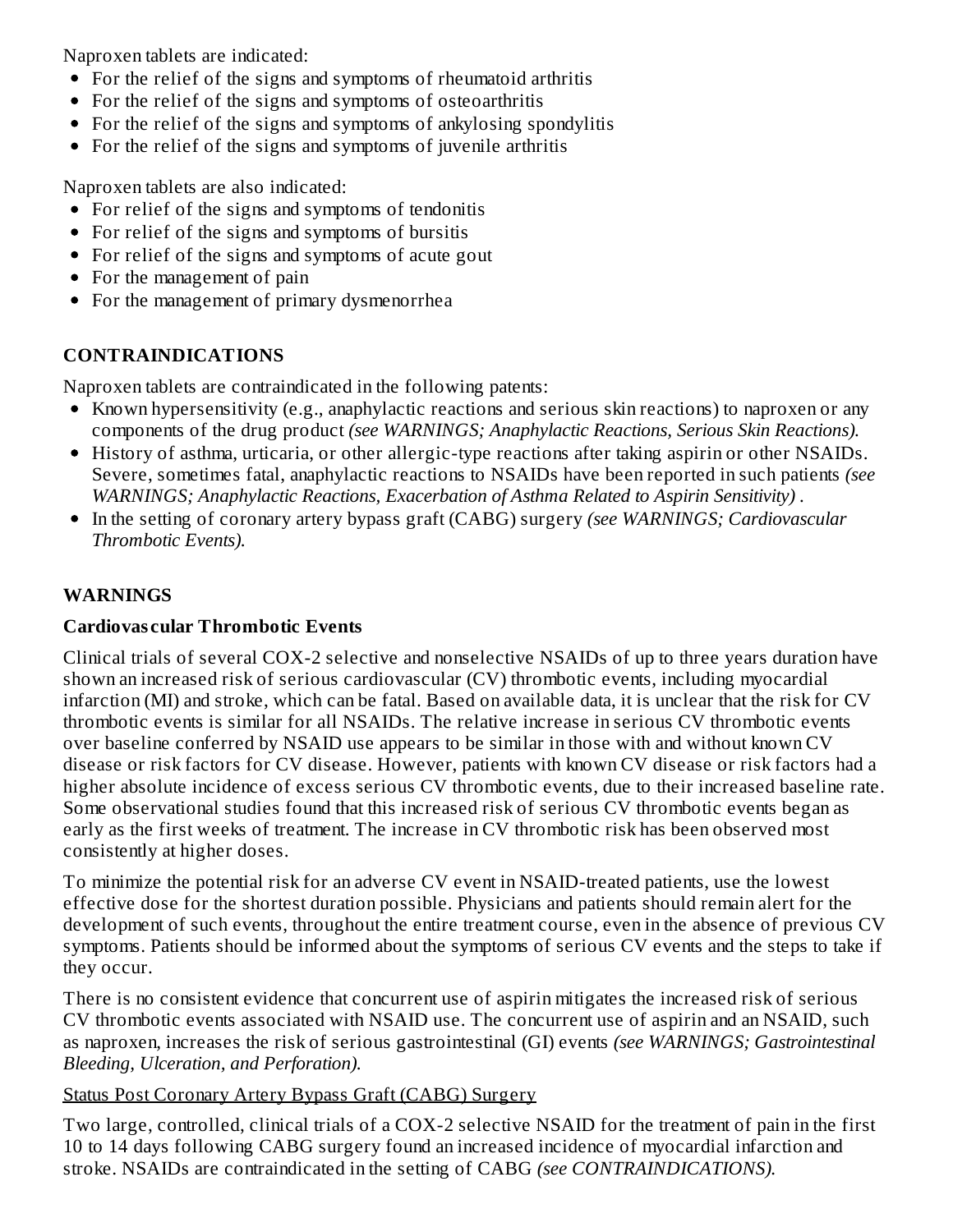Naproxen tablets are indicated:

- For the relief of the signs and symptoms of rheumatoid arthritis
- For the relief of the signs and symptoms of osteoarthritis
- For the relief of the signs and symptoms of ankylosing spondylitis
- For the relief of the signs and symptoms of juvenile arthritis

Naproxen tablets are also indicated:

- For relief of the signs and symptoms of tendonitis
- For relief of the signs and symptoms of bursitis
- For relief of the signs and symptoms of acute gout
- For the management of pain
- For the management of primary dysmenorrhea

# **CONTRAINDICATIONS**

Naproxen tablets are contraindicated in the following patents:

- Known hypersensitivity (e.g., anaphylactic reactions and serious skin reactions) to naproxen or any components of the drug product *(see WARNINGS; Anaphylactic Reactions, Serious Skin Reactions).*
- History of asthma, urticaria, or other allergic-type reactions after taking aspirin or other NSAIDs. Severe, sometimes fatal, anaphylactic reactions to NSAIDs have been reported in such patients *(see WARNINGS; Anaphylactic Reactions, Exacerbation of Asthma Related to Aspirin Sensitivity) .*
- In the setting of coronary artery bypass graft (CABG) surgery *(see WARNINGS; Cardiovascular Thrombotic Events).*

### **WARNINGS**

### **Cardiovas cular Thrombotic Events**

Clinical trials of several COX-2 selective and nonselective NSAIDs of up to three years duration have shown an increased risk of serious cardiovascular (CV) thrombotic events, including myocardial infarction (MI) and stroke, which can be fatal. Based on available data, it is unclear that the risk for CV thrombotic events is similar for all NSAIDs. The relative increase in serious CV thrombotic events over baseline conferred by NSAID use appears to be similar in those with and without known CV disease or risk factors for CV disease. However, patients with known CV disease or risk factors had a higher absolute incidence of excess serious CV thrombotic events, due to their increased baseline rate. Some observational studies found that this increased risk of serious CV thrombotic events began as early as the first weeks of treatment. The increase in CV thrombotic risk has been observed most consistently at higher doses.

To minimize the potential risk for an adverse CV event in NSAID-treated patients, use the lowest effective dose for the shortest duration possible. Physicians and patients should remain alert for the development of such events, throughout the entire treatment course, even in the absence of previous CV symptoms. Patients should be informed about the symptoms of serious CV events and the steps to take if they occur.

There is no consistent evidence that concurrent use of aspirin mitigates the increased risk of serious CV thrombotic events associated with NSAID use. The concurrent use of aspirin and an NSAID, such as naproxen, increases the risk of serious gastrointestinal (GI) events *(see WARNINGS; Gastrointestinal Bleeding, Ulceration, and Perforation).*

### Status Post Coronary Artery Bypass Graft (CABG) Surgery

Two large, controlled, clinical trials of a COX-2 selective NSAID for the treatment of pain in the first 10 to 14 days following CABG surgery found an increased incidence of myocardial infarction and stroke. NSAIDs are contraindicated in the setting of CABG *(see CONTRAINDICATIONS).*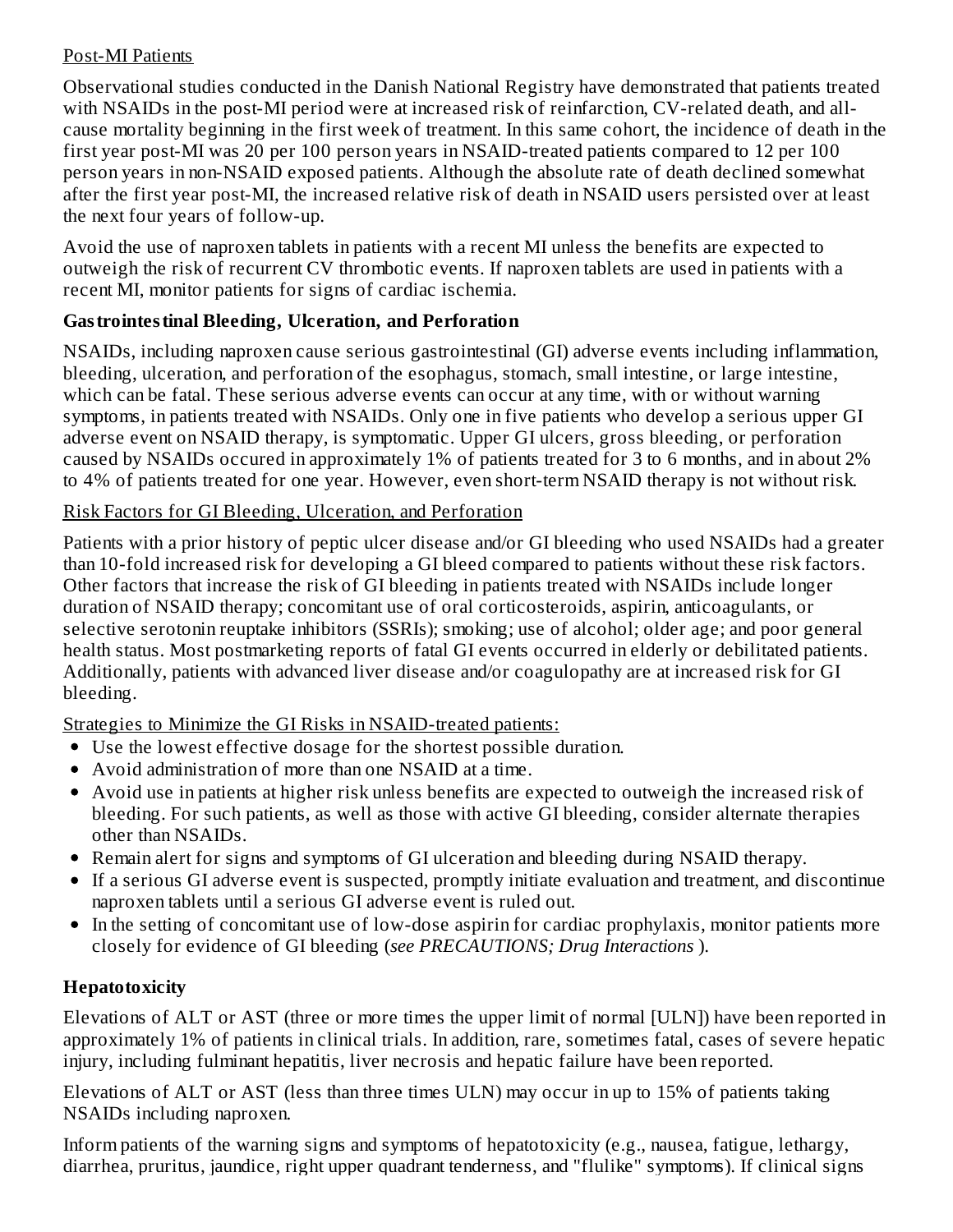### Post-MI Patients

Observational studies conducted in the Danish National Registry have demonstrated that patients treated with NSAIDs in the post-MI period were at increased risk of reinfarction, CV-related death, and allcause mortality beginning in the first week of treatment. In this same cohort, the incidence of death in the first year post-MI was 20 per 100 person years in NSAID-treated patients compared to 12 per 100 person years in non-NSAID exposed patients. Although the absolute rate of death declined somewhat after the first year post-MI, the increased relative risk of death in NSAID users persisted over at least the next four years of follow-up.

Avoid the use of naproxen tablets in patients with a recent MI unless the benefits are expected to outweigh the risk of recurrent CV thrombotic events. If naproxen tablets are used in patients with a recent MI, monitor patients for signs of cardiac ischemia.

# **Gastrointestinal Bleeding, Ulceration, and Perforation**

NSAIDs, including naproxen cause serious gastrointestinal (GI) adverse events including inflammation, bleeding, ulceration, and perforation of the esophagus, stomach, small intestine, or large intestine, which can be fatal. These serious adverse events can occur at any time, with or without warning symptoms, in patients treated with NSAIDs. Only one in five patients who develop a serious upper GI adverse event on NSAID therapy, is symptomatic. Upper GI ulcers, gross bleeding, or perforation caused by NSAIDs occured in approximately 1% of patients treated for 3 to 6 months, and in about 2% to 4% of patients treated for one year. However, even short-term NSAID therapy is not without risk.

# Risk Factors for GI Bleeding, Ulceration, and Perforation

Patients with a prior history of peptic ulcer disease and/or GI bleeding who used NSAIDs had a greater than 10-fold increased risk for developing a GI bleed compared to patients without these risk factors. Other factors that increase the risk of GI bleeding in patients treated with NSAIDs include longer duration of NSAID therapy; concomitant use of oral corticosteroids, aspirin, anticoagulants, or selective serotonin reuptake inhibitors (SSRIs); smoking; use of alcohol; older age; and poor general health status. Most postmarketing reports of fatal GI events occurred in elderly or debilitated patients. Additionally, patients with advanced liver disease and/or coagulopathy are at increased risk for GI bleeding.

Strategies to Minimize the GI Risks in NSAID-treated patients:

- Use the lowest effective dosage for the shortest possible duration.
- Avoid administration of more than one NSAID at a time.
- Avoid use in patients at higher risk unless benefits are expected to outweigh the increased risk of bleeding. For such patients, as well as those with active GI bleeding, consider alternate therapies other than NSAIDs.
- Remain alert for signs and symptoms of GI ulceration and bleeding during NSAID therapy.
- If a serious GI adverse event is suspected, promptly initiate evaluation and treatment, and discontinue naproxen tablets until a serious GI adverse event is ruled out.
- In the setting of concomitant use of low-dose aspirin for cardiac prophylaxis, monitor patients more closely for evidence of GI bleeding (*see PRECAUTIONS; Drug Interactions* ).

# **Hepatotoxicity**

Elevations of ALT or AST (three or more times the upper limit of normal [ULN]) have been reported in approximately 1% of patients in clinical trials. In addition, rare, sometimes fatal, cases of severe hepatic injury, including fulminant hepatitis, liver necrosis and hepatic failure have been reported.

Elevations of ALT or AST (less than three times ULN) may occur in up to 15% of patients taking NSAIDs including naproxen.

Inform patients of the warning signs and symptoms of hepatotoxicity (e.g., nausea, fatigue, lethargy, diarrhea, pruritus, jaundice, right upper quadrant tenderness, and "flulike" symptoms). If clinical signs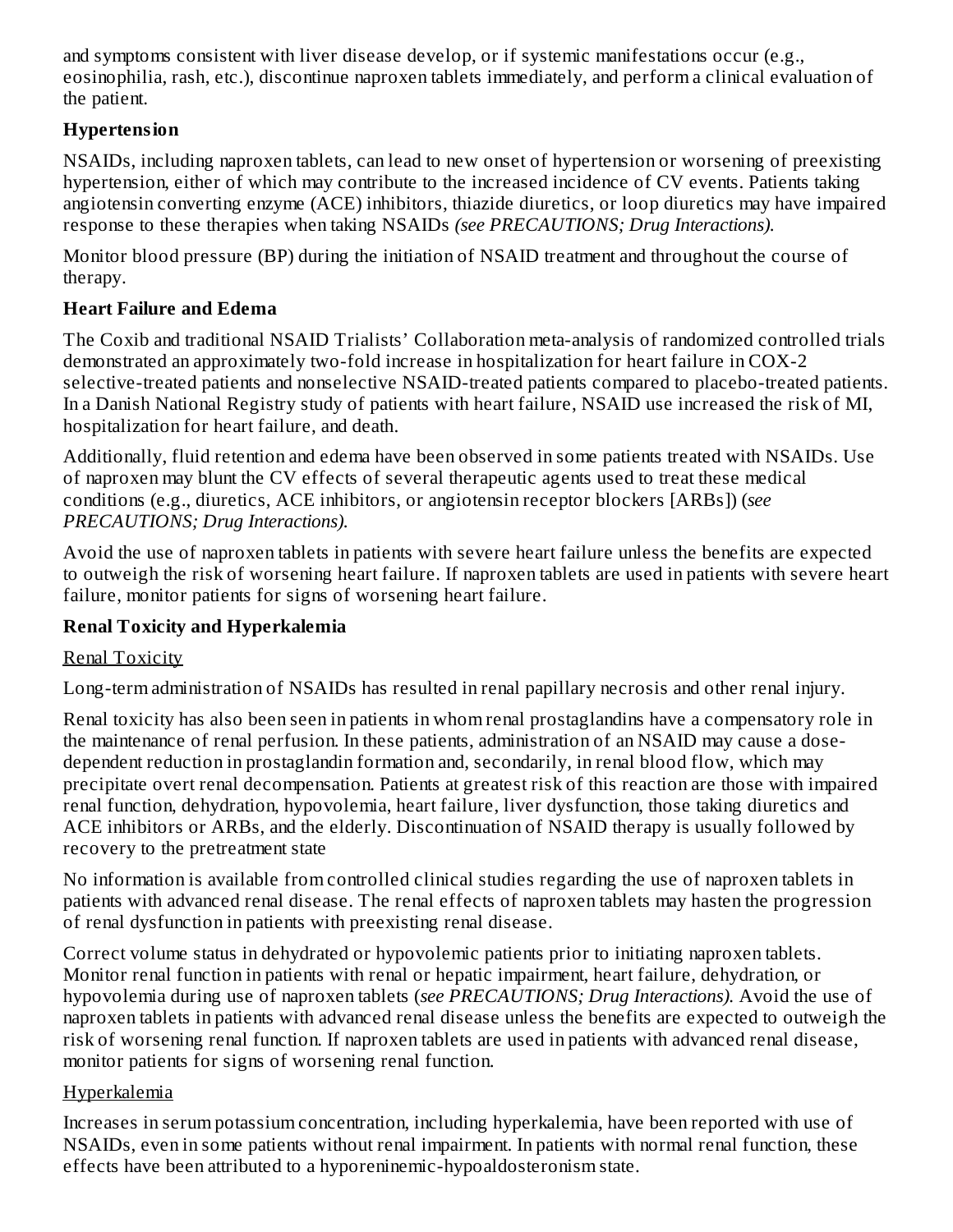and symptoms consistent with liver disease develop, or if systemic manifestations occur (e.g., eosinophilia, rash, etc.), discontinue naproxen tablets immediately, and perform a clinical evaluation of the patient.

# **Hypertension**

NSAIDs, including naproxen tablets, can lead to new onset of hypertension or worsening of preexisting hypertension, either of which may contribute to the increased incidence of CV events. Patients taking angiotensin converting enzyme (ACE) inhibitors, thiazide diuretics, or loop diuretics may have impaired response to these therapies when taking NSAIDs *(see PRECAUTIONS; Drug Interactions).*

Monitor blood pressure (BP) during the initiation of NSAID treatment and throughout the course of therapy.

# **Heart Failure and Edema**

The Coxib and traditional NSAID Trialists' Collaboration meta-analysis of randomized controlled trials demonstrated an approximately two-fold increase in hospitalization for heart failure in COX-2 selective-treated patients and nonselective NSAID-treated patients compared to placebo-treated patients. In a Danish National Registry study of patients with heart failure, NSAID use increased the risk of MI, hospitalization for heart failure, and death.

Additionally, fluid retention and edema have been observed in some patients treated with NSAIDs. Use of naproxen may blunt the CV effects of several therapeutic agents used to treat these medical conditions (e.g., diuretics, ACE inhibitors, or angiotensin receptor blockers [ARBs]) (*see PRECAUTIONS; Drug Interactions).*

Avoid the use of naproxen tablets in patients with severe heart failure unless the benefits are expected to outweigh the risk of worsening heart failure. If naproxen tablets are used in patients with severe heart failure, monitor patients for signs of worsening heart failure.

# **Renal Toxicity and Hyperkalemia**

# Renal Toxicity

Long-term administration of NSAIDs has resulted in renal papillary necrosis and other renal injury.

Renal toxicity has also been seen in patients in whom renal prostaglandins have a compensatory role in the maintenance of renal perfusion. In these patients, administration of an NSAID may cause a dosedependent reduction in prostaglandin formation and, secondarily, in renal blood flow, which may precipitate overt renal decompensation. Patients at greatest risk of this reaction are those with impaired renal function, dehydration, hypovolemia, heart failure, liver dysfunction, those taking diuretics and ACE inhibitors or ARBs, and the elderly. Discontinuation of NSAID therapy is usually followed by recovery to the pretreatment state

No information is available from controlled clinical studies regarding the use of naproxen tablets in patients with advanced renal disease. The renal effects of naproxen tablets may hasten the progression of renal dysfunction in patients with preexisting renal disease.

Correct volume status in dehydrated or hypovolemic patients prior to initiating naproxen tablets. Monitor renal function in patients with renal or hepatic impairment, heart failure, dehydration, or hypovolemia during use of naproxen tablets (*see PRECAUTIONS; Drug Interactions).* Avoid the use of naproxen tablets in patients with advanced renal disease unless the benefits are expected to outweigh the risk of worsening renal function. If naproxen tablets are used in patients with advanced renal disease, monitor patients for signs of worsening renal function.

# Hyperkalemia

Increases in serum potassium concentration, including hyperkalemia, have been reported with use of NSAIDs, even in some patients without renal impairment. In patients with normal renal function, these effects have been attributed to a hyporeninemic-hypoaldosteronism state.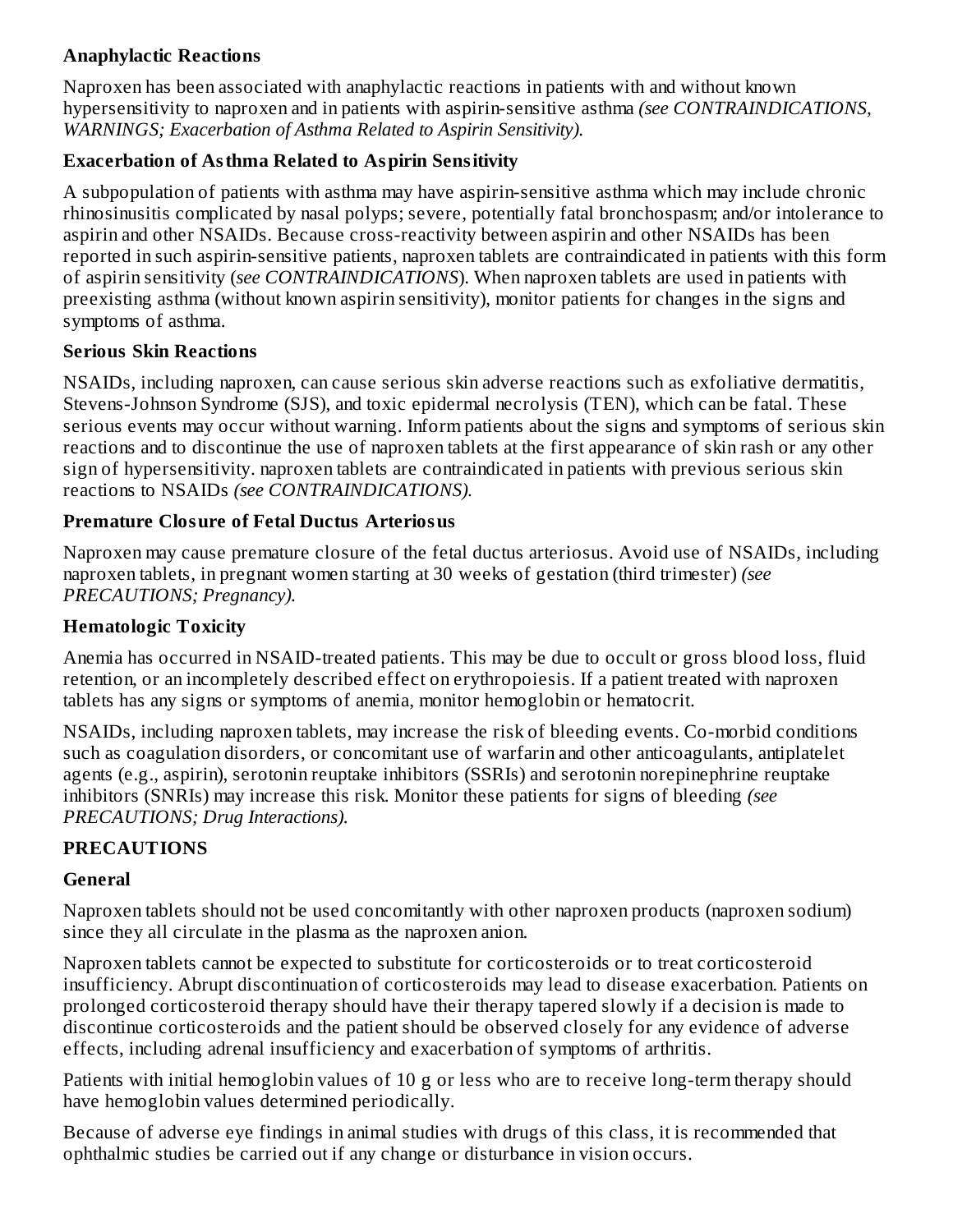## **Anaphylactic Reactions**

Naproxen has been associated with anaphylactic reactions in patients with and without known hypersensitivity to naproxen and in patients with aspirin-sensitive asthma *(see CONTRAINDICATIONS, WARNINGS; Exacerbation of Asthma Related to Aspirin Sensitivity).*

## **Exacerbation of Asthma Related to Aspirin Sensitivity**

A subpopulation of patients with asthma may have aspirin-sensitive asthma which may include chronic rhinosinusitis complicated by nasal polyps; severe, potentially fatal bronchospasm; and/or intolerance to aspirin and other NSAIDs. Because cross-reactivity between aspirin and other NSAIDs has been reported in such aspirin-sensitive patients, naproxen tablets are contraindicated in patients with this form of aspirin sensitivity (*see CONTRAINDICATIONS*). When naproxen tablets are used in patients with preexisting asthma (without known aspirin sensitivity), monitor patients for changes in the signs and symptoms of asthma.

### **Serious Skin Reactions**

NSAIDs, including naproxen, can cause serious skin adverse reactions such as exfoliative dermatitis, Stevens-Johnson Syndrome (SJS), and toxic epidermal necrolysis (TEN), which can be fatal. These serious events may occur without warning. Inform patients about the signs and symptoms of serious skin reactions and to discontinue the use of naproxen tablets at the first appearance of skin rash or any other sign of hypersensitivity. naproxen tablets are contraindicated in patients with previous serious skin reactions to NSAIDs *(see CONTRAINDICATIONS).*

### **Premature Closure of Fetal Ductus Arteriosus**

Naproxen may cause premature closure of the fetal ductus arteriosus. Avoid use of NSAIDs, including naproxen tablets, in pregnant women starting at 30 weeks of gestation (third trimester) *(see PRECAUTIONS; Pregnancy).*

# **Hematologic Toxicity**

Anemia has occurred in NSAID-treated patients. This may be due to occult or gross blood loss, fluid retention, or an incompletely described effect on erythropoiesis. If a patient treated with naproxen tablets has any signs or symptoms of anemia, monitor hemoglobin or hematocrit.

NSAIDs, including naproxen tablets, may increase the risk of bleeding events. Co-morbid conditions such as coagulation disorders, or concomitant use of warfarin and other anticoagulants, antiplatelet agents (e.g., aspirin), serotonin reuptake inhibitors (SSRIs) and serotonin norepinephrine reuptake inhibitors (SNRIs) may increase this risk. Monitor these patients for signs of bleeding *(see PRECAUTIONS; Drug Interactions).*

# **PRECAUTIONS**

# **General**

Naproxen tablets should not be used concomitantly with other naproxen products (naproxen sodium) since they all circulate in the plasma as the naproxen anion.

Naproxen tablets cannot be expected to substitute for corticosteroids or to treat corticosteroid insufficiency. Abrupt discontinuation of corticosteroids may lead to disease exacerbation. Patients on prolonged corticosteroid therapy should have their therapy tapered slowly if a decision is made to discontinue corticosteroids and the patient should be observed closely for any evidence of adverse effects, including adrenal insufficiency and exacerbation of symptoms of arthritis.

Patients with initial hemoglobin values of 10 g or less who are to receive long-term therapy should have hemoglobin values determined periodically.

Because of adverse eye findings in animal studies with drugs of this class, it is recommended that ophthalmic studies be carried out if any change or disturbance in vision occurs.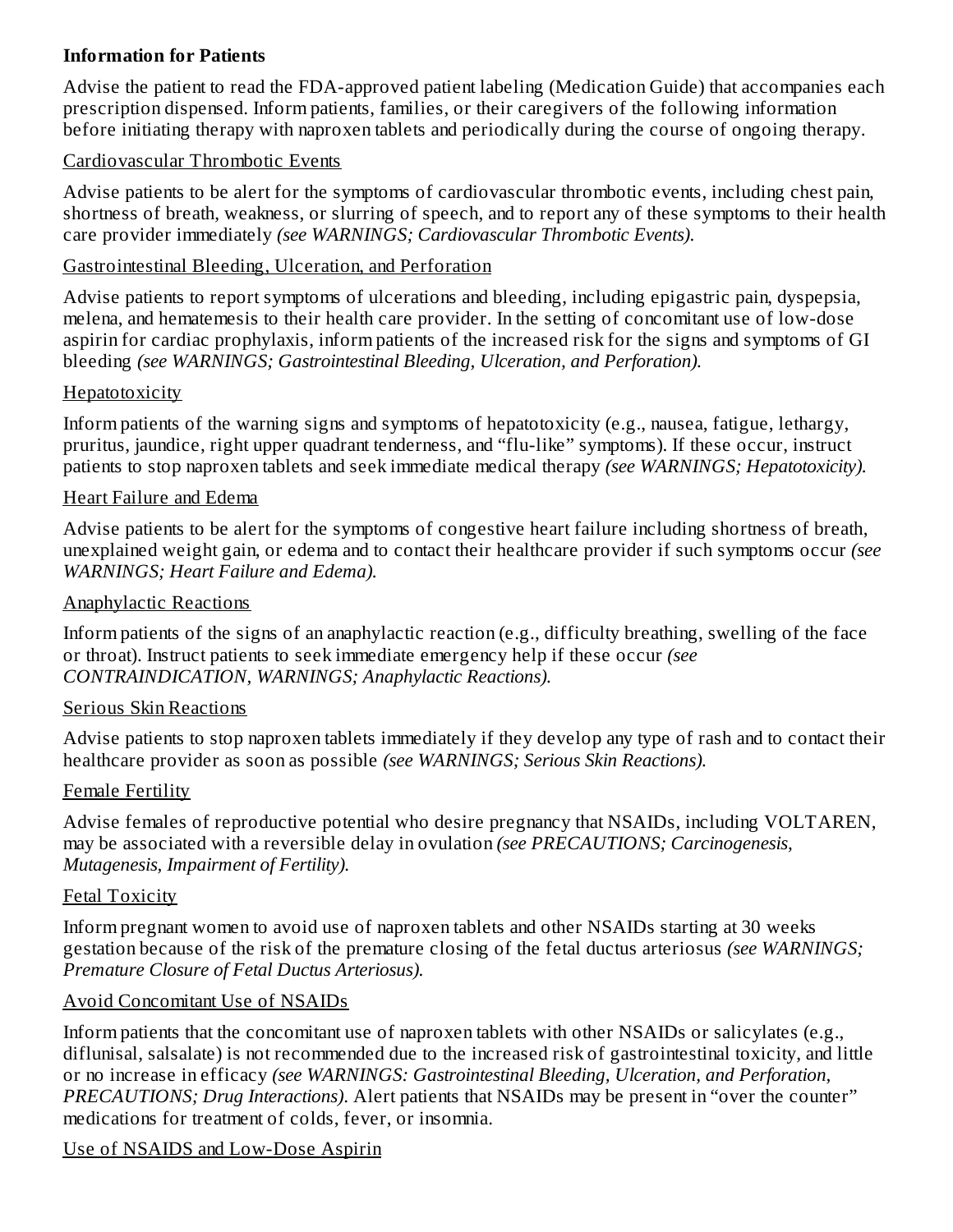### **Information for Patients**

Advise the patient to read the FDA-approved patient labeling (Medication Guide) that accompanies each prescription dispensed. Inform patients, families, or their caregivers of the following information before initiating therapy with naproxen tablets and periodically during the course of ongoing therapy.

### Cardiovascular Thrombotic Events

Advise patients to be alert for the symptoms of cardiovascular thrombotic events, including chest pain, shortness of breath, weakness, or slurring of speech, and to report any of these symptoms to their health care provider immediately *(see WARNINGS; Cardiovascular Thrombotic Events).*

### Gastrointestinal Bleeding, Ulceration, and Perforation

Advise patients to report symptoms of ulcerations and bleeding, including epigastric pain, dyspepsia, melena, and hematemesis to their health care provider. In the setting of concomitant use of low-dose aspirin for cardiac prophylaxis, inform patients of the increased risk for the signs and symptoms of GI bleeding *(see WARNINGS; Gastrointestinal Bleeding, Ulceration, and Perforation).*

### **Hepatotoxicity**

Inform patients of the warning signs and symptoms of hepatotoxicity (e.g., nausea, fatigue, lethargy, pruritus, jaundice, right upper quadrant tenderness, and "flu-like" symptoms). If these occur, instruct patients to stop naproxen tablets and seek immediate medical therapy *(see WARNINGS; Hepatotoxicity).*

### Heart Failure and Edema

Advise patients to be alert for the symptoms of congestive heart failure including shortness of breath, unexplained weight gain, or edema and to contact their healthcare provider if such symptoms occur *(see WARNINGS; Heart Failure and Edema).*

### Anaphylactic Reactions

Inform patients of the signs of an anaphylactic reaction (e.g., difficulty breathing, swelling of the face or throat). Instruct patients to seek immediate emergency help if these occur *(see CONTRAINDICATION, WARNINGS; Anaphylactic Reactions).*

### Serious Skin Reactions

Advise patients to stop naproxen tablets immediately if they develop any type of rash and to contact their healthcare provider as soon as possible *(see WARNINGS; Serious Skin Reactions).*

### Female Fertility

Advise females of reproductive potential who desire pregnancy that NSAIDs, including VOLTAREN, may be associated with a reversible delay in ovulation *(see PRECAUTIONS; Carcinogenesis, Mutagenesis, Impairment of Fertility).*

### Fetal Toxicity

Inform pregnant women to avoid use of naproxen tablets and other NSAIDs starting at 30 weeks gestation because of the risk of the premature closing of the fetal ductus arteriosus *(see WARNINGS; Premature Closure of Fetal Ductus Arteriosus).*

### Avoid Concomitant Use of NSAIDs

Inform patients that the concomitant use of naproxen tablets with other NSAIDs or salicylates (e.g., diflunisal, salsalate) is not recommended due to the increased risk of gastrointestinal toxicity, and little or no increase in efficacy *(see WARNINGS: Gastrointestinal Bleeding, Ulceration, and Perforation, PRECAUTIONS; Drug Interactions)*. Alert patients that NSAIDs may be present in "over the counter" medications for treatment of colds, fever, or insomnia.

### Use of NSAIDS and Low-Dose Aspirin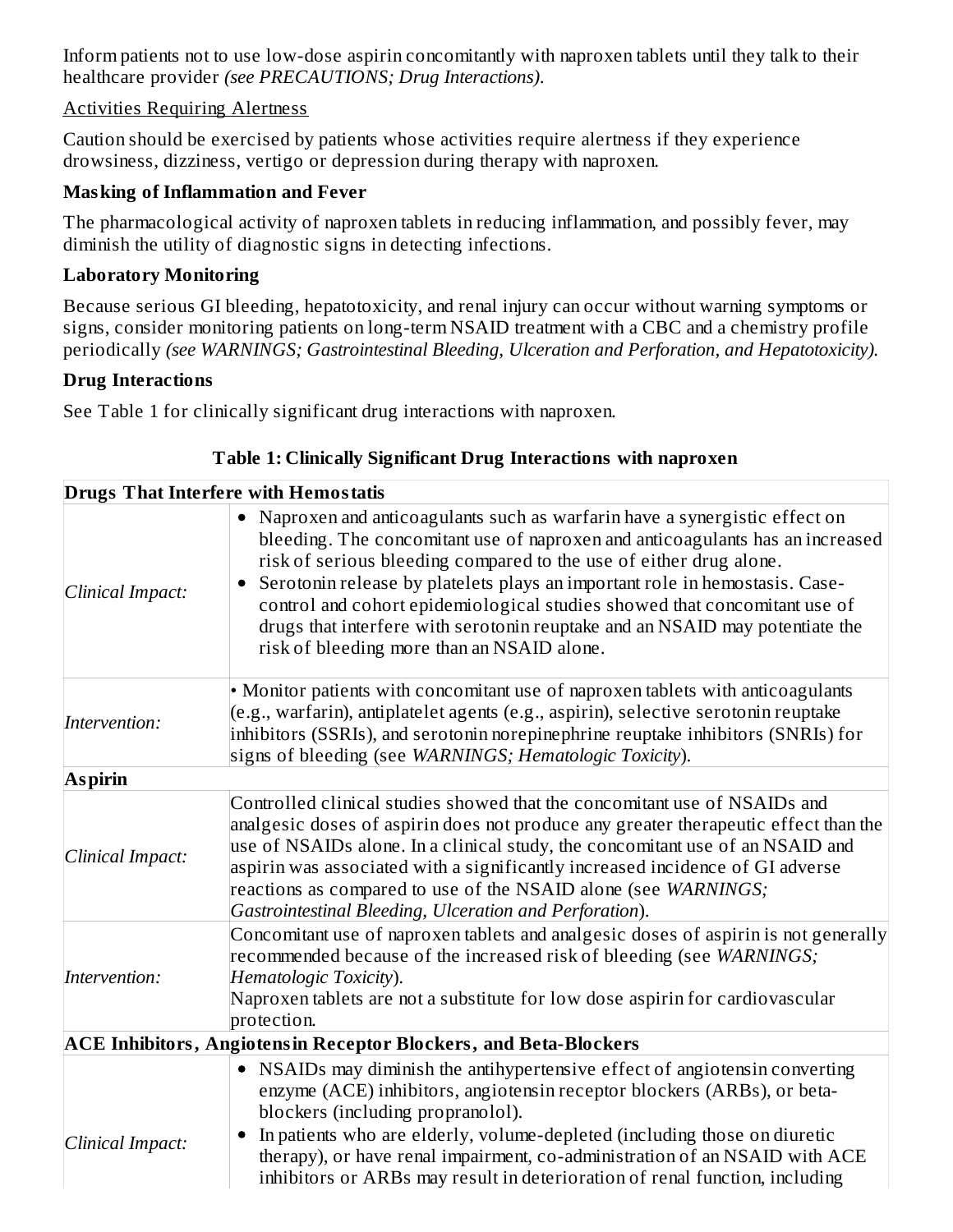Inform patients not to use low-dose aspirin concomitantly with naproxen tablets until they talk to their healthcare provider *(see PRECAUTIONS; Drug Interactions)*.

### Activities Requiring Alertness

Caution should be exercised by patients whose activities require alertness if they experience drowsiness, dizziness, vertigo or depression during therapy with naproxen.

# **Masking of Inflammation and Fever**

The pharmacological activity of naproxen tablets in reducing inflammation, and possibly fever, may diminish the utility of diagnostic signs in detecting infections.

# **Laboratory Monitoring**

Because serious GI bleeding, hepatotoxicity, and renal injury can occur without warning symptoms or signs, consider monitoring patients on long-term NSAID treatment with a CBC and a chemistry profile periodically *(see WARNINGS; Gastrointestinal Bleeding, Ulceration and Perforation, and Hepatotoxicity).*

# **Drug Interactions**

See Table 1 for clinically significant drug interactions with naproxen.

|                  | <b>Drugs That Interfere with Hemostatis</b>                                                                                                                                                                                                                                                                                                                                                                                                                                                                                |
|------------------|----------------------------------------------------------------------------------------------------------------------------------------------------------------------------------------------------------------------------------------------------------------------------------------------------------------------------------------------------------------------------------------------------------------------------------------------------------------------------------------------------------------------------|
| Clinical Impact: | Naproxen and anticoagulants such as warfarin have a synergistic effect on<br>bleeding. The concomitant use of naproxen and anticoagulants has an increased<br>risk of serious bleeding compared to the use of either drug alone.<br>Serotonin release by platelets plays an important role in hemostasis. Case-<br>control and cohort epidemiological studies showed that concomitant use of<br>drugs that interfere with serotonin reuptake and an NSAID may potentiate the<br>risk of bleeding more than an NSAID alone. |
| Intervention:    | • Monitor patients with concomitant use of naproxen tablets with anticoagulants<br>(e.g., warfarin), antiplatelet agents (e.g., aspirin), selective serotonin reuptake<br>inhibitors (SSRIs), and serotonin norepinephrine reuptake inhibitors (SNRIs) for<br>signs of bleeding (see WARNINGS; Hematologic Toxicity).                                                                                                                                                                                                      |
| <b>Aspirin</b>   |                                                                                                                                                                                                                                                                                                                                                                                                                                                                                                                            |
| Clinical Impact: | Controlled clinical studies showed that the concomitant use of NSAIDs and<br>analgesic doses of aspirin does not produce any greater therapeutic effect than the<br>use of NSAIDs alone. In a clinical study, the concomitant use of an NSAID and<br>aspirin was associated with a significantly increased incidence of GI adverse<br>reactions as compared to use of the NSAID alone (see WARNINGS;<br>Gastrointestinal Bleeding, Ulceration and Perforation).                                                            |
| Intervention:    | Concomitant use of naproxen tablets and analgesic doses of aspirin is not generally<br>recommended because of the increased risk of bleeding (see WARNINGS;<br>Hematologic Toxicity).<br>Naproxen tablets are not a substitute for low dose aspirin for cardiovascular<br>protection.                                                                                                                                                                                                                                      |
|                  | ACE Inhibitors, Angiotensin Receptor Blockers, and Beta-Blockers                                                                                                                                                                                                                                                                                                                                                                                                                                                           |
| Clinical Impact: | NSAIDs may diminish the antihypertensive effect of angiotensin converting<br>$\bullet$<br>enzyme (ACE) inhibitors, angiotensin receptor blockers (ARBs), or beta-<br>blockers (including propranolol).<br>In patients who are elderly, volume-depleted (including those on diuretic<br>$\bullet$<br>therapy), or have renal impairment, co-administration of an NSAID with ACE<br>inhibitors or ARBs may result in deterioration of renal function, including                                                              |

# **Table 1: Clinically Significant Drug Interactions with naproxen**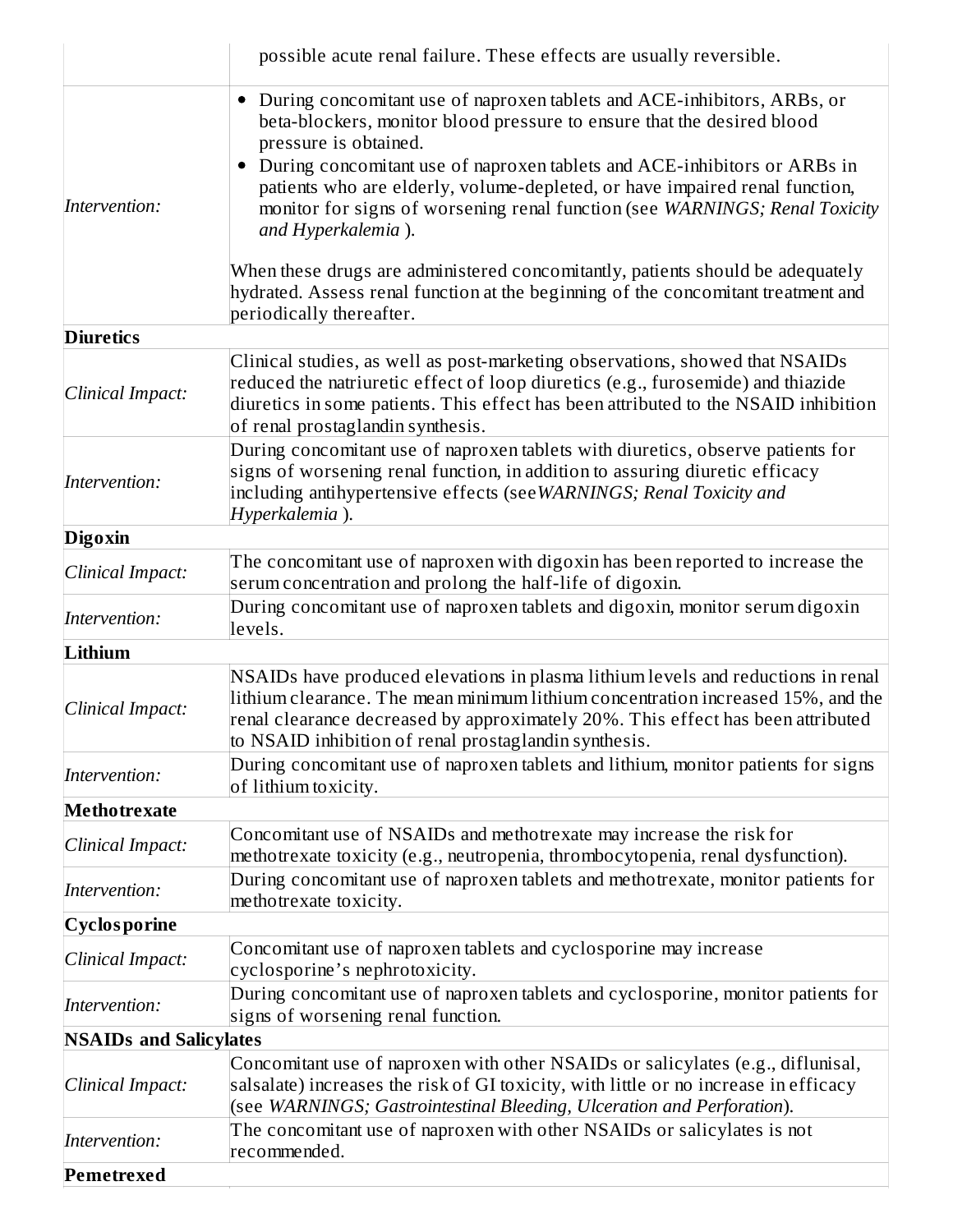|                               | possible acute renal failure. These effects are usually reversible.                                                                                                                                                                                                                                              |
|-------------------------------|------------------------------------------------------------------------------------------------------------------------------------------------------------------------------------------------------------------------------------------------------------------------------------------------------------------|
|                               | During concomitant use of naproxen tablets and ACE-inhibitors, ARBs, or<br>beta-blockers, monitor blood pressure to ensure that the desired blood<br>pressure is obtained.                                                                                                                                       |
| Intervention:                 | During concomitant use of naproxen tablets and ACE-inhibitors or ARBs in<br>$\bullet$<br>patients who are elderly, volume-depleted, or have impaired renal function,<br>monitor for signs of worsening renal function (see WARNINGS; Renal Toxicity<br>and Hyperkalemia).                                        |
|                               | When these drugs are administered concomitantly, patients should be adequately<br>hydrated. Assess renal function at the beginning of the concomitant treatment and<br>periodically thereafter.                                                                                                                  |
| <b>Diuretics</b>              |                                                                                                                                                                                                                                                                                                                  |
| Clinical Impact:              | Clinical studies, as well as post-marketing observations, showed that NSAIDs<br>reduced the natriuretic effect of loop diuretics (e.g., furosemide) and thiazide<br>diuretics in some patients. This effect has been attributed to the NSAID inhibition<br>of renal prostaglandin synthesis.                     |
| Intervention:                 | During concomitant use of naproxen tablets with diuretics, observe patients for<br>signs of worsening renal function, in addition to assuring diuretic efficacy<br>including antihypertensive effects (seeWARNINGS; Renal Toxicity and<br>Hyperkalemia).                                                         |
| <b>Digoxin</b>                |                                                                                                                                                                                                                                                                                                                  |
| Clinical Impact:              | The concomitant use of naproxen with digoxin has been reported to increase the<br>serum concentration and prolong the half-life of digoxin.                                                                                                                                                                      |
| Intervention:                 | During concomitant use of naproxen tablets and digoxin, monitor serum digoxin<br>levels.                                                                                                                                                                                                                         |
| Lithium                       |                                                                                                                                                                                                                                                                                                                  |
| Clinical Impact:              | NSAIDs have produced elevations in plasma lithium levels and reductions in renal<br>lithium clearance. The mean minimum lithium concentration increased 15%, and the<br>renal clearance decreased by approximately 20%. This effect has been attributed<br>to NSAID inhibition of renal prostaglandin synthesis. |
| Intervention:                 | During concomitant use of naproxen tablets and lithium, monitor patients for signs<br>of lithium toxicity.                                                                                                                                                                                                       |
| Methotrexate                  |                                                                                                                                                                                                                                                                                                                  |
| Clinical Impact:              | Concomitant use of NSAIDs and methotrexate may increase the risk for<br>methotrexate toxicity (e.g., neutropenia, thrombocytopenia, renal dysfunction).                                                                                                                                                          |
| Intervention:                 | During concomitant use of naproxen tablets and methotrexate, monitor patients for<br>methotrexate toxicity.                                                                                                                                                                                                      |
| Cyclosporine                  |                                                                                                                                                                                                                                                                                                                  |
| Clinical Impact:              | Concomitant use of naproxen tablets and cyclosporine may increase<br>cyclosporine's nephrotoxicity.                                                                                                                                                                                                              |
| Intervention:                 | During concomitant use of naproxen tablets and cyclosporine, monitor patients for<br>signs of worsening renal function.                                                                                                                                                                                          |
| <b>NSAIDs and Salicylates</b> |                                                                                                                                                                                                                                                                                                                  |
| Clinical Impact:              | Concomitant use of naproxen with other NSAIDs or salicylates (e.g., diflunisal,<br>salsalate) increases the risk of GI toxicity, with little or no increase in efficacy<br>(see WARNINGS; Gastrointestinal Bleeding, Ulceration and Perforation).                                                                |
| Intervention:                 | The concomitant use of naproxen with other NSAIDs or salicylates is not<br>recommended.                                                                                                                                                                                                                          |
| Pemetrexed                    |                                                                                                                                                                                                                                                                                                                  |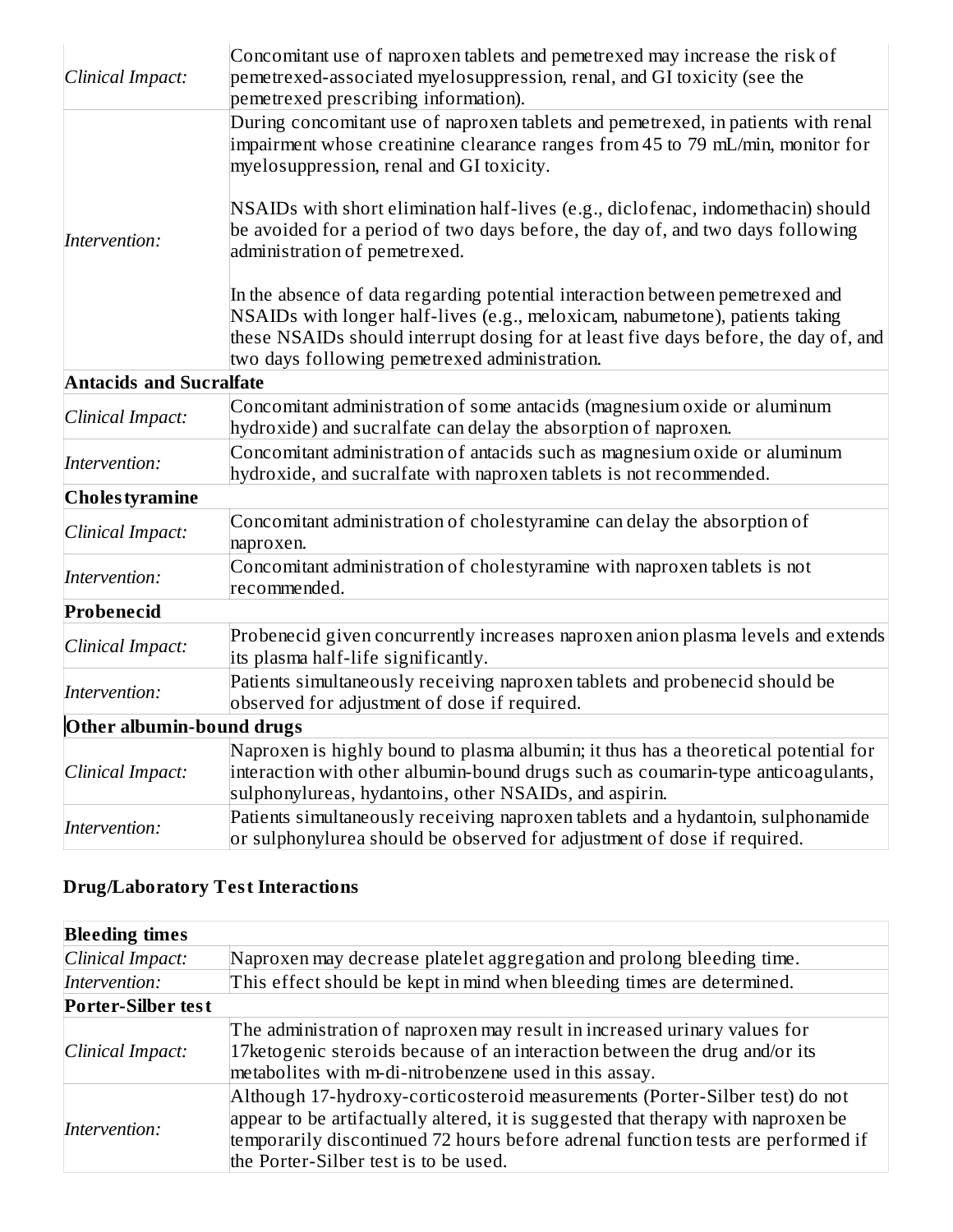| Clinical Impact:               | Concomitant use of naproxen tablets and pemetrexed may increase the risk of<br>pemetrexed-associated myelosuppression, renal, and GI toxicity (see the<br>pemetrexed prescribing information).                                                                                                        |  |
|--------------------------------|-------------------------------------------------------------------------------------------------------------------------------------------------------------------------------------------------------------------------------------------------------------------------------------------------------|--|
|                                | During concomitant use of naproxen tablets and pemetrexed, in patients with renal<br>impairment whose creatinine clearance ranges from 45 to 79 mL/min, monitor for<br>myelosuppression, renal and GI toxicity.                                                                                       |  |
| Intervention:                  | NSAIDs with short elimination half-lives (e.g., diclofenac, indomethacin) should<br>be avoided for a period of two days before, the day of, and two days following<br>administration of pemetrexed.                                                                                                   |  |
|                                | In the absence of data regarding potential interaction between pemetrexed and<br>NSAIDs with longer half-lives (e.g., meloxicam, nabumetone), patients taking<br>these NSAIDs should interrupt dosing for at least five days before, the day of, and<br>two days following pemetrexed administration. |  |
| <b>Antacids and Sucralfate</b> |                                                                                                                                                                                                                                                                                                       |  |
| Clinical Impact:               | Concomitant administration of some antacids (magnesium oxide or aluminum<br>hydroxide) and sucralfate can delay the absorption of naproxen.                                                                                                                                                           |  |
| Intervention:                  | Concomitant administration of antacids such as magnesium oxide or aluminum<br>hydroxide, and sucralfate with naproxen tablets is not recommended.                                                                                                                                                     |  |
| <b>Choles tyramine</b>         |                                                                                                                                                                                                                                                                                                       |  |
| Clinical Impact:               | Concomitant administration of cholestyramine can delay the absorption of<br>naproxen.                                                                                                                                                                                                                 |  |
| Intervention:                  | Concomitant administration of cholestyramine with naproxen tablets is not<br>recommended.                                                                                                                                                                                                             |  |
| Probenecid                     |                                                                                                                                                                                                                                                                                                       |  |
| Clinical Impact:               | Probenecid given concurrently increases naproxen anion plasma levels and extends<br>its plasma half-life significantly.                                                                                                                                                                               |  |
| Intervention:                  | Patients simultaneously receiving naproxen tablets and probenecid should be<br>observed for adjustment of dose if required.                                                                                                                                                                           |  |
| Other albumin-bound drugs      |                                                                                                                                                                                                                                                                                                       |  |
| Clinical Impact:               | Naproxen is highly bound to plasma albumin; it thus has a theoretical potential for<br>interaction with other albumin-bound drugs such as coumarin-type anticoagulants,<br>sulphonylureas, hydantoins, other NSAIDs, and aspirin.                                                                     |  |
| Intervention:                  | Patients simultaneously receiving naproxen tablets and a hydantoin, sulphonamide<br>or sulphonylurea should be observed for adjustment of dose if required.                                                                                                                                           |  |

# **Drug/Laboratory Test Interactions**

| <b>Bleeding times</b>                                                                                                                                                                                                                  |                                                                                                                                                                                                                                                                                               |
|----------------------------------------------------------------------------------------------------------------------------------------------------------------------------------------------------------------------------------------|-----------------------------------------------------------------------------------------------------------------------------------------------------------------------------------------------------------------------------------------------------------------------------------------------|
| Clinical Impact:                                                                                                                                                                                                                       | Naproxen may decrease platelet aggregation and prolong bleeding time.                                                                                                                                                                                                                         |
| Intervention:                                                                                                                                                                                                                          | This effect should be kept in mind when bleeding times are determined.                                                                                                                                                                                                                        |
| <b>Porter-Silber test</b>                                                                                                                                                                                                              |                                                                                                                                                                                                                                                                                               |
| The administration of naproxen may result in increased urinary values for<br>17 ketogenic steroids because of an interaction between the drug and/or its<br>Clinical Impact:<br>metabolites with m-di-nitrobenzene used in this assay. |                                                                                                                                                                                                                                                                                               |
| Intervention:                                                                                                                                                                                                                          | Although 17-hydroxy-corticosteroid measurements (Porter-Silber test) do not<br>appear to be artifactually altered, it is suggested that therapy with naproxen be<br>temporarily discontinued 72 hours before adrenal function tests are performed if<br>the Porter-Silber test is to be used. |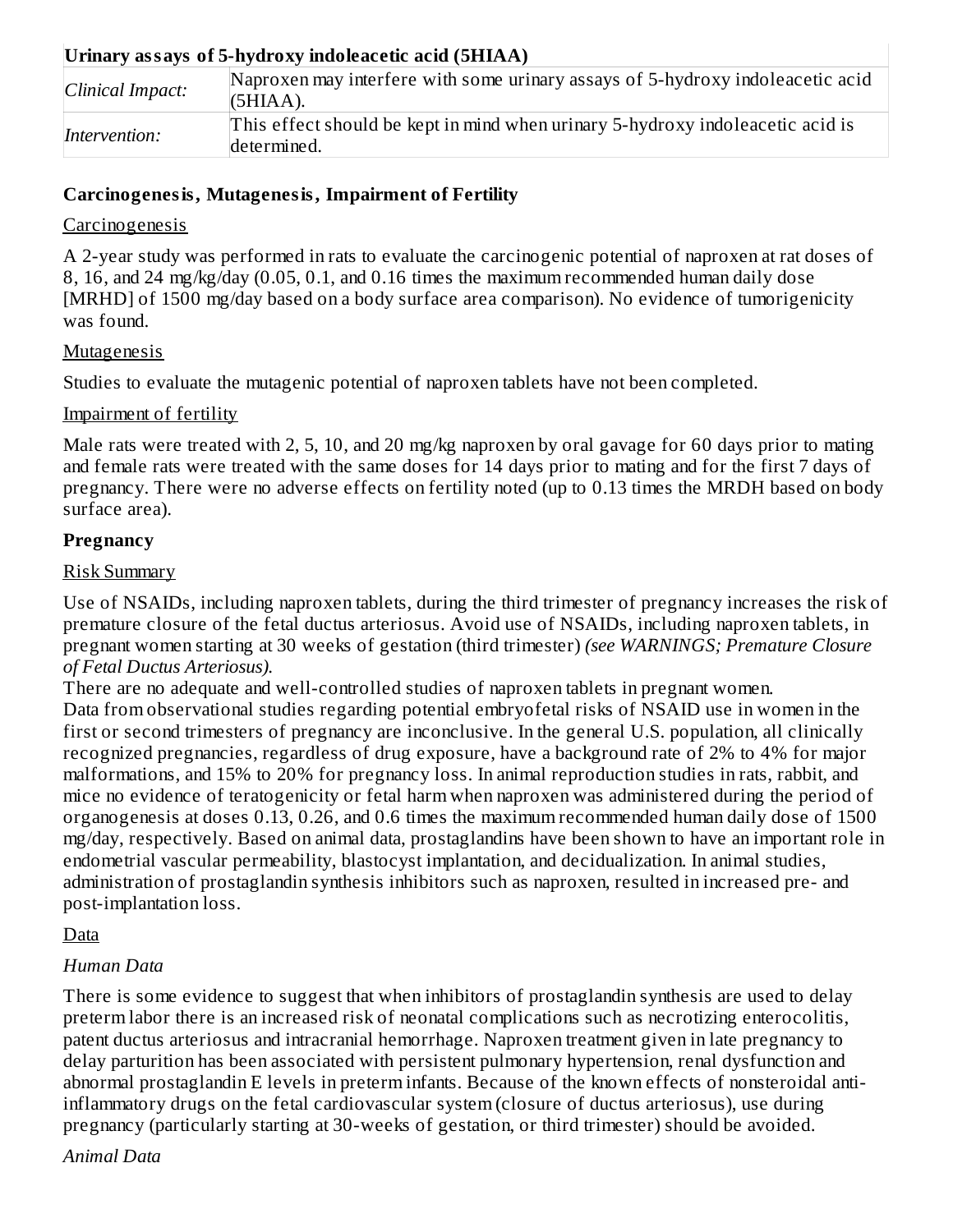## **Urinary assays of 5-hydroxy indoleacetic acid (5HIAA)**

| Clinical Impact: | Naproxen may interfere with some urinary assays of 5-hydroxy indoleacetic acid<br>(5HIAA).    |
|------------------|-----------------------------------------------------------------------------------------------|
| Intervention:    | This effect should be kept in mind when urinary 5-hydroxy indoleacetic acid is<br>determined. |

### **Carcinogenesis, Mutagenesis, Impairment of Fertility**

### Carcinogenesis

A 2-year study was performed in rats to evaluate the carcinogenic potential of naproxen at rat doses of 8, 16, and 24 mg/kg/day (0.05, 0.1, and 0.16 times the maximum recommended human daily dose [MRHD] of 1500 mg/day based on a body surface area comparison). No evidence of tumorigenicity was found.

### Mutagenesis

Studies to evaluate the mutagenic potential of naproxen tablets have not been completed.

### Impairment of fertility

Male rats were treated with 2, 5, 10, and 20 mg/kg naproxen by oral gavage for 60 days prior to mating and female rats were treated with the same doses for 14 days prior to mating and for the first 7 days of pregnancy. There were no adverse effects on fertility noted (up to 0.13 times the MRDH based on body surface area).

### **Pregnancy**

### Risk Summary

Use of NSAIDs, including naproxen tablets, during the third trimester of pregnancy increases the risk of premature closure of the fetal ductus arteriosus. Avoid use of NSAIDs, including naproxen tablets, in pregnant women starting at 30 weeks of gestation (third trimester) *(see WARNINGS; Premature Closure of Fetal Ductus Arteriosus).*

There are no adequate and well-controlled studies of naproxen tablets in pregnant women. Data from observational studies regarding potential embryofetal risks of NSAID use in women in the first or second trimesters of pregnancy are inconclusive. In the general U.S. population, all clinically recognized pregnancies, regardless of drug exposure, have a background rate of 2% to 4% for major malformations, and 15% to 20% for pregnancy loss. In animal reproduction studies in rats, rabbit, and mice no evidence of teratogenicity or fetal harm when naproxen was administered during the period of organogenesis at doses 0.13, 0.26, and 0.6 times the maximum recommended human daily dose of 1500 mg/day, respectively. Based on animal data, prostaglandins have been shown to have an important role in endometrial vascular permeability, blastocyst implantation, and decidualization. In animal studies, administration of prostaglandin synthesis inhibitors such as naproxen, resulted in increased pre- and post-implantation loss.

### Data

# *Human Data*

There is some evidence to suggest that when inhibitors of prostaglandin synthesis are used to delay preterm labor there is an increased risk of neonatal complications such as necrotizing enterocolitis, patent ductus arteriosus and intracranial hemorrhage. Naproxen treatment given in late pregnancy to delay parturition has been associated with persistent pulmonary hypertension, renal dysfunction and abnormal prostaglandin E levels in preterm infants. Because of the known effects of nonsteroidal antiinflammatory drugs on the fetal cardiovascular system (closure of ductus arteriosus), use during pregnancy (particularly starting at 30-weeks of gestation, or third trimester) should be avoided.

### *Animal Data*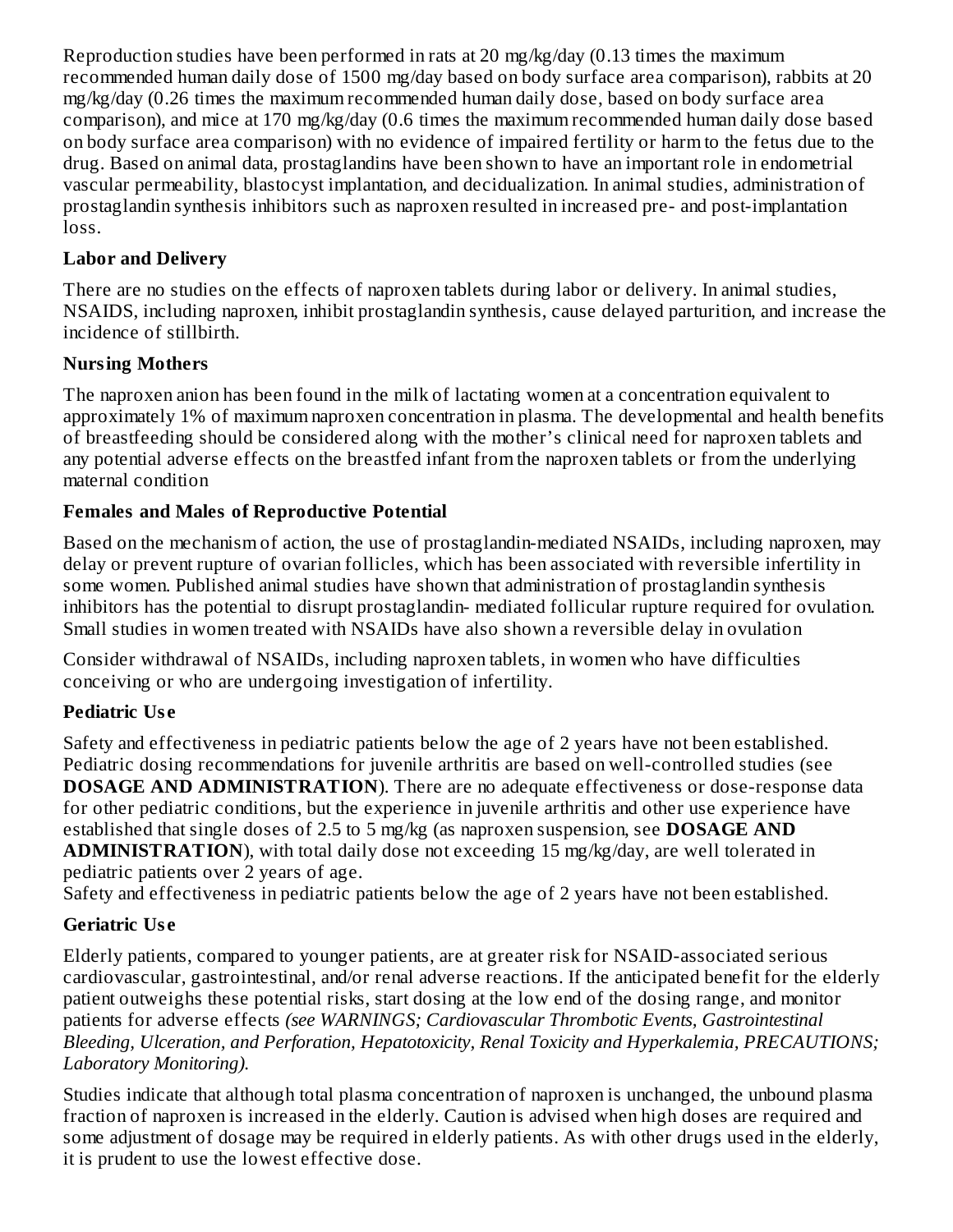Reproduction studies have been performed in rats at 20 mg/kg/day (0.13 times the maximum recommended human daily dose of 1500 mg/day based on body surface area comparison), rabbits at 20 mg/kg/day (0.26 times the maximum recommended human daily dose, based on body surface area comparison), and mice at 170 mg/kg/day (0.6 times the maximum recommended human daily dose based on body surface area comparison) with no evidence of impaired fertility or harm to the fetus due to the drug. Based on animal data, prostaglandins have been shown to have an important role in endometrial vascular permeability, blastocyst implantation, and decidualization. In animal studies, administration of prostaglandin synthesis inhibitors such as naproxen resulted in increased pre- and post-implantation loss.

# **Labor and Delivery**

There are no studies on the effects of naproxen tablets during labor or delivery. In animal studies, NSAIDS, including naproxen, inhibit prostaglandin synthesis, cause delayed parturition, and increase the incidence of stillbirth.

### **Nursing Mothers**

The naproxen anion has been found in the milk of lactating women at a concentration equivalent to approximately 1% of maximum naproxen concentration in plasma. The developmental and health benefits of breastfeeding should be considered along with the mother's clinical need for naproxen tablets and any potential adverse effects on the breastfed infant from the naproxen tablets or from the underlying maternal condition

# **Females and Males of Reproductive Potential**

Based on the mechanism of action, the use of prostaglandin-mediated NSAIDs, including naproxen, may delay or prevent rupture of ovarian follicles, which has been associated with reversible infertility in some women. Published animal studies have shown that administration of prostaglandin synthesis inhibitors has the potential to disrupt prostaglandin- mediated follicular rupture required for ovulation. Small studies in women treated with NSAIDs have also shown a reversible delay in ovulation

Consider withdrawal of NSAIDs, including naproxen tablets, in women who have difficulties conceiving or who are undergoing investigation of infertility.

### **Pediatric Us e**

Safety and effectiveness in pediatric patients below the age of 2 years have not been established. Pediatric dosing recommendations for juvenile arthritis are based on well-controlled studies (see **DOSAGE AND ADMINISTRATION**). There are no adequate effectiveness or dose-response data for other pediatric conditions, but the experience in juvenile arthritis and other use experience have established that single doses of 2.5 to 5 mg/kg (as naproxen suspension, see **DOSAGE AND ADMINISTRATION**), with total daily dose not exceeding 15 mg/kg/day, are well tolerated in pediatric patients over 2 years of age.

Safety and effectiveness in pediatric patients below the age of 2 years have not been established.

# **Geriatric Us e**

Elderly patients, compared to younger patients, are at greater risk for NSAID-associated serious cardiovascular, gastrointestinal, and/or renal adverse reactions. If the anticipated benefit for the elderly patient outweighs these potential risks, start dosing at the low end of the dosing range, and monitor patients for adverse effects *(see WARNINGS; Cardiovascular Thrombotic Events, Gastrointestinal Bleeding, Ulceration, and Perforation, Hepatotoxicity, Renal Toxicity and Hyperkalemia, PRECAUTIONS; Laboratory Monitoring).*

Studies indicate that although total plasma concentration of naproxen is unchanged, the unbound plasma fraction of naproxen is increased in the elderly. Caution is advised when high doses are required and some adjustment of dosage may be required in elderly patients. As with other drugs used in the elderly, it is prudent to use the lowest effective dose.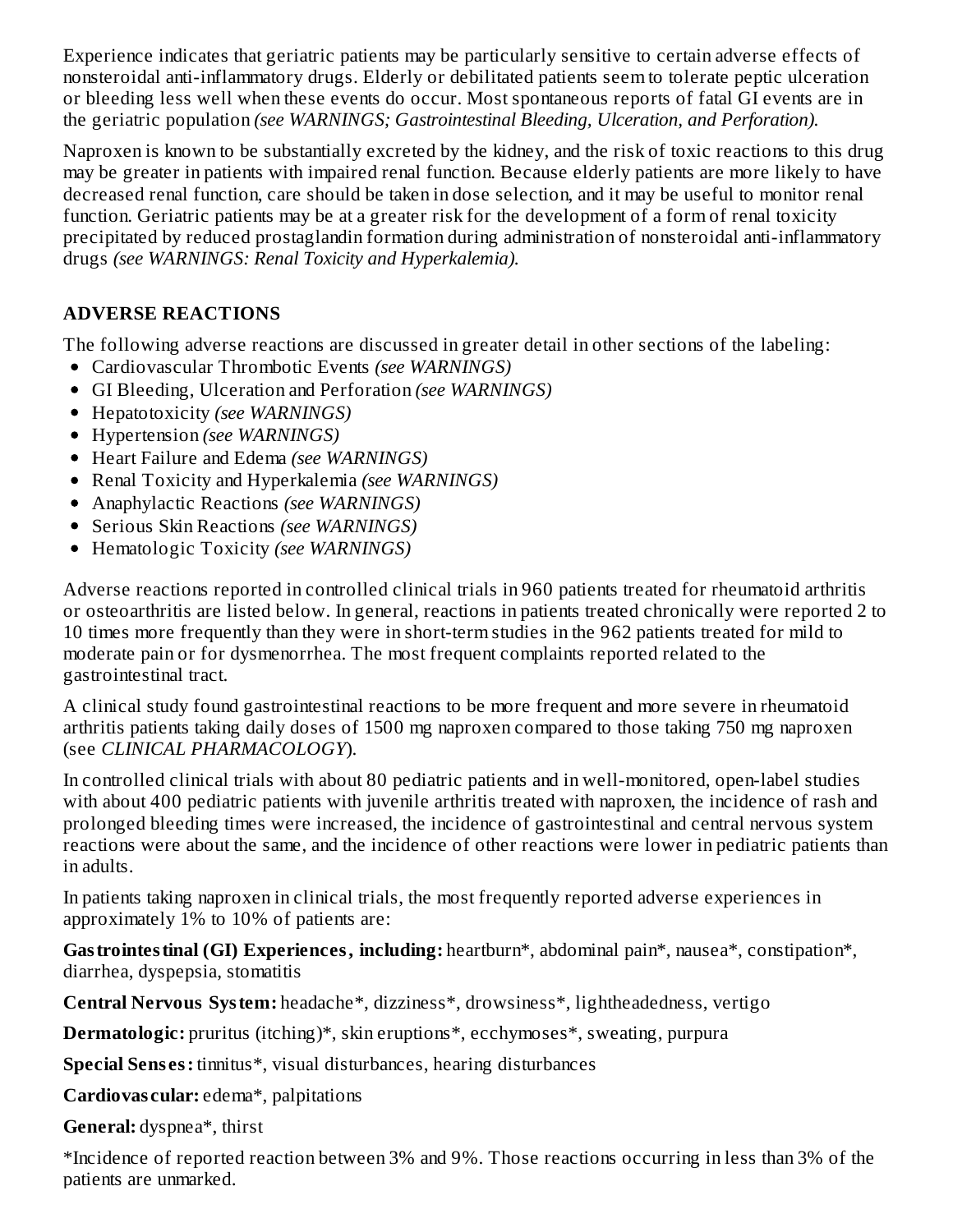Experience indicates that geriatric patients may be particularly sensitive to certain adverse effects of nonsteroidal anti-inflammatory drugs. Elderly or debilitated patients seem to tolerate peptic ulceration or bleeding less well when these events do occur. Most spontaneous reports of fatal GI events are in the geriatric population *(see WARNINGS; Gastrointestinal Bleeding, Ulceration, and Perforation).*

Naproxen is known to be substantially excreted by the kidney, and the risk of toxic reactions to this drug may be greater in patients with impaired renal function. Because elderly patients are more likely to have decreased renal function, care should be taken in dose selection, and it may be useful to monitor renal function. Geriatric patients may be at a greater risk for the development of a form of renal toxicity precipitated by reduced prostaglandin formation during administration of nonsteroidal anti-inflammatory drugs *(see WARNINGS: Renal Toxicity and Hyperkalemia).*

# **ADVERSE REACTIONS**

The following adverse reactions are discussed in greater detail in other sections of the labeling:

- Cardiovascular Thrombotic Events *(see WARNINGS)*
- GI Bleeding, Ulceration and Perforation *(see WARNINGS)*
- Hepatotoxicity *(see WARNINGS)*
- Hypertension *(see WARNINGS)*
- Heart Failure and Edema *(see WARNINGS)*
- Renal Toxicity and Hyperkalemia *(see WARNINGS)*
- Anaphylactic Reactions *(see WARNINGS)*
- Serious Skin Reactions *(see WARNINGS)*
- Hematologic Toxicity *(see WARNINGS)*

Adverse reactions reported in controlled clinical trials in 960 patients treated for rheumatoid arthritis or osteoarthritis are listed below. In general, reactions in patients treated chronically were reported 2 to 10 times more frequently than they were in short-term studies in the 962 patients treated for mild to moderate pain or for dysmenorrhea. The most frequent complaints reported related to the gastrointestinal tract.

A clinical study found gastrointestinal reactions to be more frequent and more severe in rheumatoid arthritis patients taking daily doses of 1500 mg naproxen compared to those taking 750 mg naproxen (see *CLINICAL PHARMACOLOGY*).

In controlled clinical trials with about 80 pediatric patients and in well-monitored, open-label studies with about 400 pediatric patients with juvenile arthritis treated with naproxen, the incidence of rash and prolonged bleeding times were increased, the incidence of gastrointestinal and central nervous system reactions were about the same, and the incidence of other reactions were lower in pediatric patients than in adults.

In patients taking naproxen in clinical trials, the most frequently reported adverse experiences in approximately 1% to 10% of patients are:

**Gastrointestinal (GI) Experiences, including:** heartburn\*, abdominal pain\*, nausea\*, constipation\*, diarrhea, dyspepsia, stomatitis

**Central Nervous System:** headache\*, dizziness\*, drowsiness\*, lightheadedness, vertigo

**Dermatologic:** pruritus (itching)\*, skin eruptions\*, ecchymoses\*, sweating, purpura

**Special Sens es:** tinnitus\*, visual disturbances, hearing disturbances

**Cardiovas cular:** edema\*, palpitations

**General:** dyspnea\*, thirst

\*Incidence of reported reaction between 3% and 9%. Those reactions occurring in less than 3% of the patients are unmarked.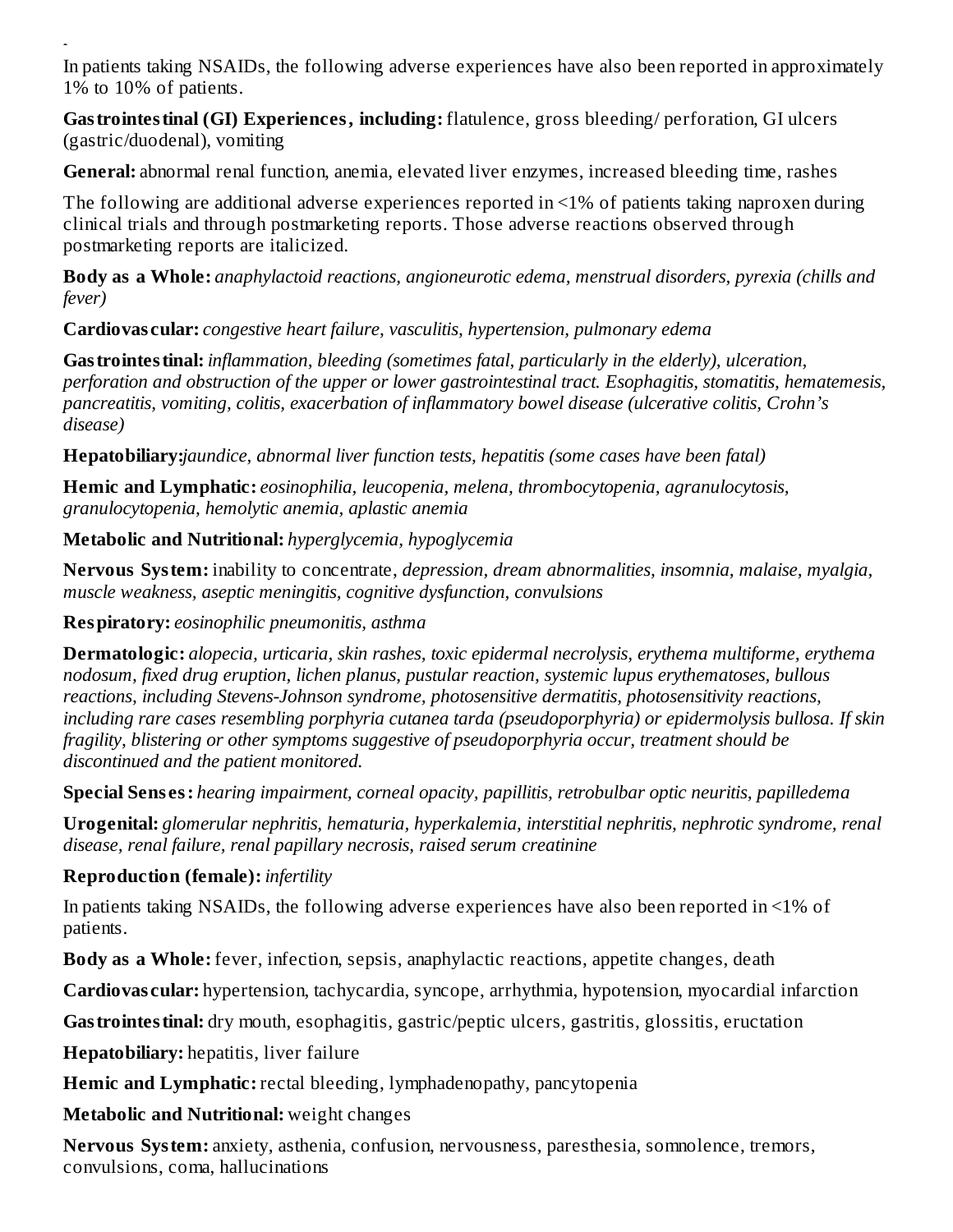In patients taking NSAIDs, the following adverse experiences have also been reported in approximately 1% to 10% of patients.

**Gastrointestinal (GI) Experiences, including:** flatulence, gross bleeding/ perforation, GI ulcers (gastric/duodenal), vomiting

**General:** abnormal renal function, anemia, elevated liver enzymes, increased bleeding time, rashes

The following are additional adverse experiences reported in <1% of patients taking naproxen during clinical trials and through postmarketing reports. Those adverse reactions observed through postmarketing reports are italicized.

**Body as a Whole:** *anaphylactoid reactions, angioneurotic edema, menstrual disorders, pyrexia (chills and fever)*

**Cardiovas cular:** *congestive heart failure, vasculitis, hypertension, pulmonary edema*

**Gastrointestinal:** *inflammation, bleeding (sometimes fatal, particularly in the elderly), ulceration, perforation and obstruction of the upper or lower gastrointestinal tract. Esophagitis, stomatitis, hematemesis, pancreatitis, vomiting, colitis, exacerbation of inflammatory bowel disease (ulcerative colitis, Crohn's disease)*

**Hepatobiliary:***jaundice, abnormal liver function tests, hepatitis (some cases have been fatal)*

**Hemic and Lymphatic:** *eosinophilia, leucopenia, melena, thrombocytopenia, agranulocytosis, granulocytopenia, hemolytic anemia, aplastic anemia*

**Metabolic and Nutritional:** *hyperglycemia, hypoglycemia*

**Nervous System:** inability to concentrate, *depression, dream abnormalities, insomnia, malaise, myalgia, muscle weakness, aseptic meningitis, cognitive dysfunction, convulsions*

**Respiratory:** *eosinophilic pneumonitis, asthma*

patients are unmarked.

**Dermatologic:** *alopecia, urticaria, skin rashes, toxic epidermal necrolysis, erythema multiforme, erythema nodosum, fixed drug eruption, lichen planus, pustular reaction, systemic lupus erythematoses, bullous reactions, including Stevens-Johnson syndrome, photosensitive dermatitis, photosensitivity reactions, including rare cases resembling porphyria cutanea tarda (pseudoporphyria) or epidermolysis bullosa. If skin fragility, blistering or other symptoms suggestive of pseudoporphyria occur, treatment should be discontinued and the patient monitored.*

**Special Sens es:** *hearing impairment, corneal opacity, papillitis, retrobulbar optic neuritis, papilledema*

**Urogenital:** *glomerular nephritis, hematuria, hyperkalemia, interstitial nephritis, nephrotic syndrome, renal disease, renal failure, renal papillary necrosis, raised serum creatinine*

# **Reproduction (female):** *infertility*

In patients taking NSAIDs, the following adverse experiences have also been reported in <1% of patients.

**Body as a Whole:** fever, infection, sepsis, anaphylactic reactions, appetite changes, death

**Cardiovas cular:** hypertension, tachycardia, syncope, arrhythmia, hypotension, myocardial infarction

Gastrointestinal: dry mouth, esophagitis, gastric/peptic ulcers, gastritis, glossitis, eructation

**Hepatobiliary:** hepatitis, liver failure

**Hemic and Lymphatic:** rectal bleeding, lymphadenopathy, pancytopenia

**Metabolic and Nutritional:** weight changes

**Nervous System:** anxiety, asthenia, confusion, nervousness, paresthesia, somnolence, tremors, convulsions, coma, hallucinations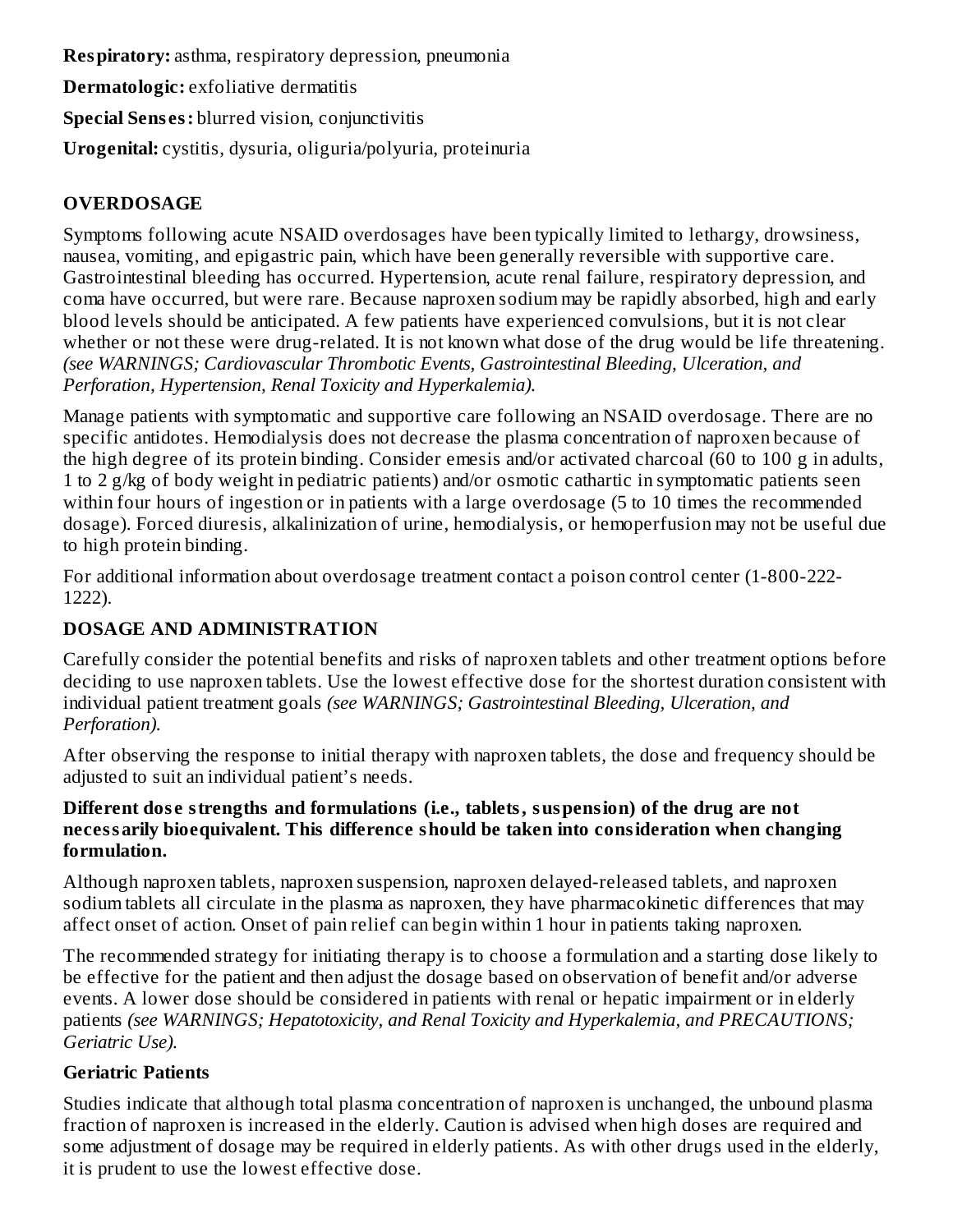**Respiratory:** asthma, respiratory depression, pneumonia

**Dermatologic:** exfoliative dermatitis

**Special Sens es:** blurred vision, conjunctivitis

**Urogenital:** cystitis, dysuria, oliguria/polyuria, proteinuria

# **OVERDOSAGE**

Symptoms following acute NSAID overdosages have been typically limited to lethargy, drowsiness, nausea, vomiting, and epigastric pain, which have been generally reversible with supportive care. Gastrointestinal bleeding has occurred. Hypertension, acute renal failure, respiratory depression, and coma have occurred, but were rare. Because naproxen sodium may be rapidly absorbed, high and early blood levels should be anticipated. A few patients have experienced convulsions, but it is not clear whether or not these were drug-related. It is not known what dose of the drug would be life threatening. *(see WARNINGS; Cardiovascular Thrombotic Events, Gastrointestinal Bleeding, Ulceration, and Perforation, Hypertension, Renal Toxicity and Hyperkalemia).*

Manage patients with symptomatic and supportive care following an NSAID overdosage. There are no specific antidotes. Hemodialysis does not decrease the plasma concentration of naproxen because of the high degree of its protein binding. Consider emesis and/or activated charcoal (60 to 100 g in adults, 1 to 2 g/kg of body weight in pediatric patients) and/or osmotic cathartic in symptomatic patients seen within four hours of ingestion or in patients with a large overdosage (5 to 10 times the recommended dosage). Forced diuresis, alkalinization of urine, hemodialysis, or hemoperfusion may not be useful due to high protein binding.

For additional information about overdosage treatment contact a poison control center (1-800-222- 1222).

# **DOSAGE AND ADMINISTRATION**

Carefully consider the potential benefits and risks of naproxen tablets and other treatment options before deciding to use naproxen tablets. Use the lowest effective dose for the shortest duration consistent with individual patient treatment goals *(see WARNINGS; Gastrointestinal Bleeding, Ulceration, and Perforation).*

After observing the response to initial therapy with naproxen tablets, the dose and frequency should be adjusted to suit an individual patient's needs.

### **Different dos e strengths and formulations (i.e., tablets, suspension) of the drug are not necessarily bioequivalent. This difference should be taken into consideration when changing formulation.**

Although naproxen tablets, naproxen suspension, naproxen delayed-released tablets, and naproxen sodium tablets all circulate in the plasma as naproxen, they have pharmacokinetic differences that may affect onset of action. Onset of pain relief can begin within 1 hour in patients taking naproxen.

The recommended strategy for initiating therapy is to choose a formulation and a starting dose likely to be effective for the patient and then adjust the dosage based on observation of benefit and/or adverse events. A lower dose should be considered in patients with renal or hepatic impairment or in elderly patients *(see WARNINGS; Hepatotoxicity, and Renal Toxicity and Hyperkalemia, and PRECAUTIONS; Geriatric Use).*

# **Geriatric Patients**

Studies indicate that although total plasma concentration of naproxen is unchanged, the unbound plasma fraction of naproxen is increased in the elderly. Caution is advised when high doses are required and some adjustment of dosage may be required in elderly patients. As with other drugs used in the elderly, it is prudent to use the lowest effective dose.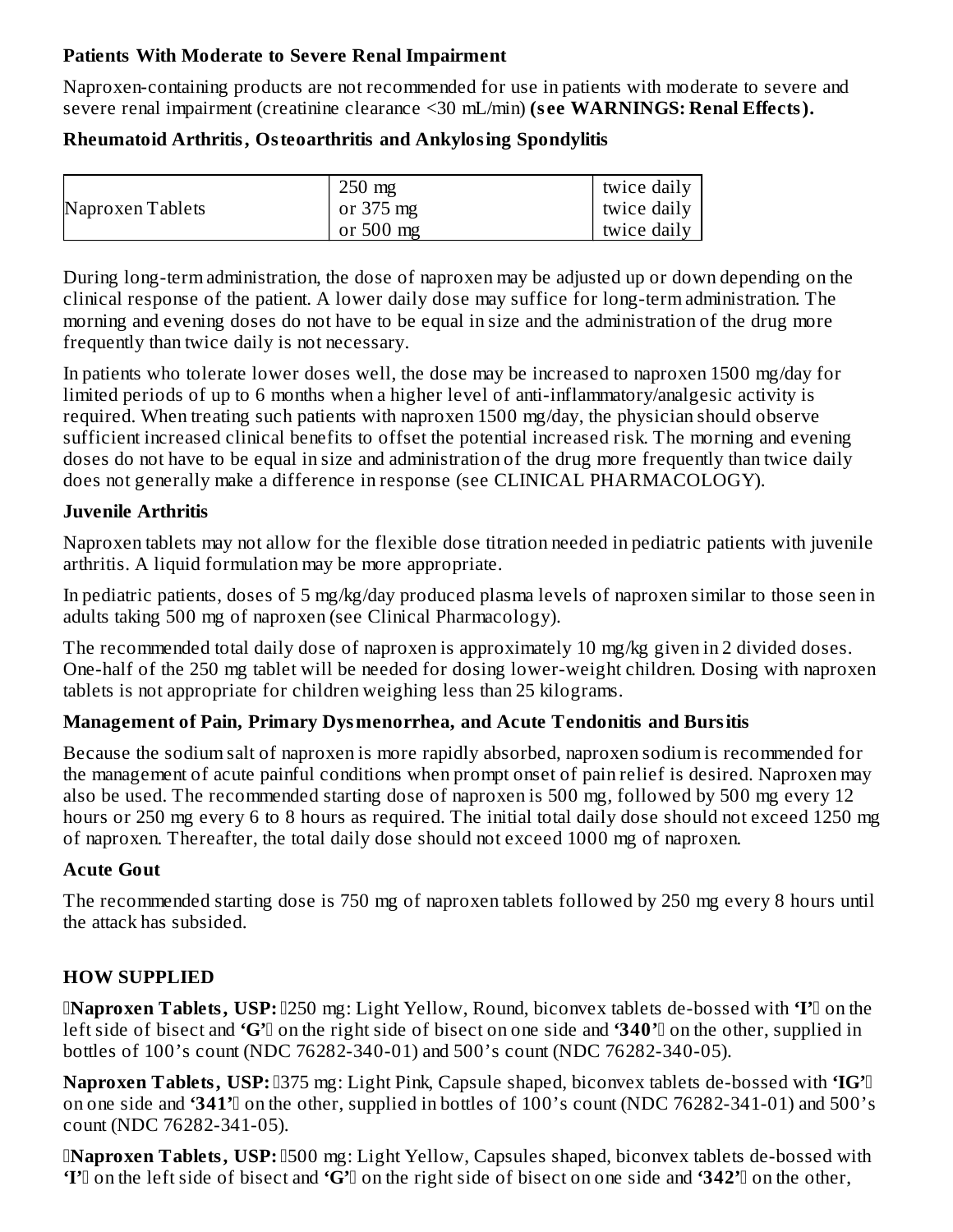### **Patients With Moderate to Severe Renal Impairment**

Naproxen-containing products are not recommended for use in patients with moderate to severe and severe renal impairment (creatinine clearance <30 mL/min) **(s ee WARNINGS: Renal Effects).**

### **Rheumatoid Arthritis, Osteoarthritis and Ankylosing Spondylitis**

|                  | $250 \text{ mg}$    | twice daily |
|------------------|---------------------|-------------|
| Naproxen Tablets | or $375 \text{ mg}$ | twice daily |
|                  | or $500$ mg         | twice daily |

During long-term administration, the dose of naproxen may be adjusted up or down depending on the clinical response of the patient. A lower daily dose may suffice for long-term administration. The morning and evening doses do not have to be equal in size and the administration of the drug more frequently than twice daily is not necessary.

In patients who tolerate lower doses well, the dose may be increased to naproxen 1500 mg/day for limited periods of up to 6 months when a higher level of anti-inflammatory/analgesic activity is required. When treating such patients with naproxen 1500 mg/day, the physician should observe sufficient increased clinical benefits to offset the potential increased risk. The morning and evening doses do not have to be equal in size and administration of the drug more frequently than twice daily does not generally make a difference in response (see CLINICAL PHARMACOLOGY).

### **Juvenile Arthritis**

Naproxen tablets may not allow for the flexible dose titration needed in pediatric patients with juvenile arthritis. A liquid formulation may be more appropriate.

In pediatric patients, doses of 5 mg/kg/day produced plasma levels of naproxen similar to those seen in adults taking 500 mg of naproxen (see Clinical Pharmacology).

The recommended total daily dose of naproxen is approximately 10 mg/kg given in 2 divided doses. One-half of the 250 mg tablet will be needed for dosing lower-weight children. Dosing with naproxen tablets is not appropriate for children weighing less than 25 kilograms.

### **Management of Pain, Primary Dysmenorrhea, and Acute Tendonitis and Bursitis**

Because the sodium salt of naproxen is more rapidly absorbed, naproxen sodium is recommended for the management of acute painful conditions when prompt onset of pain relief is desired. Naproxen may also be used. The recommended starting dose of naproxen is 500 mg, followed by 500 mg every 12 hours or 250 mg every 6 to 8 hours as required. The initial total daily dose should not exceed 1250 mg of naproxen. Thereafter, the total daily dose should not exceed 1000 mg of naproxen.

### **Acute Gout**

The recommended starting dose is 750 mg of naproxen tablets followed by 250 mg every 8 hours until the attack has subsided.

### **HOW SUPPLIED**

**Naproxen Tablets, USP:**250 mg: Light Yellow, Round, biconvex tablets de-bossed with **'I'** on the left side of bisect and **'G'** on the right side of bisect on one side and **'340'** on the other, supplied in bottles of 100's count (NDC 76282-340-01) and 500's count (NDC 76282-340-05).

**Naproxen Tablets, USP:**375 mg: Light Pink, Capsule shaped, biconvex tablets de-bossed with **'IG'** on one side and '341'<sup> $\parallel$ </sup> on the other, supplied in bottles of 100's count (NDC 76282-341-01) and 500's count (NDC 76282-341-05).

**Naproxen Tablets, USP:**500 mg: Light Yellow, Capsules shaped, biconvex tablets de-bossed with **'I'** on the left side of bisect and **'G'** on the right side of bisect on one side and **'342'** on the other,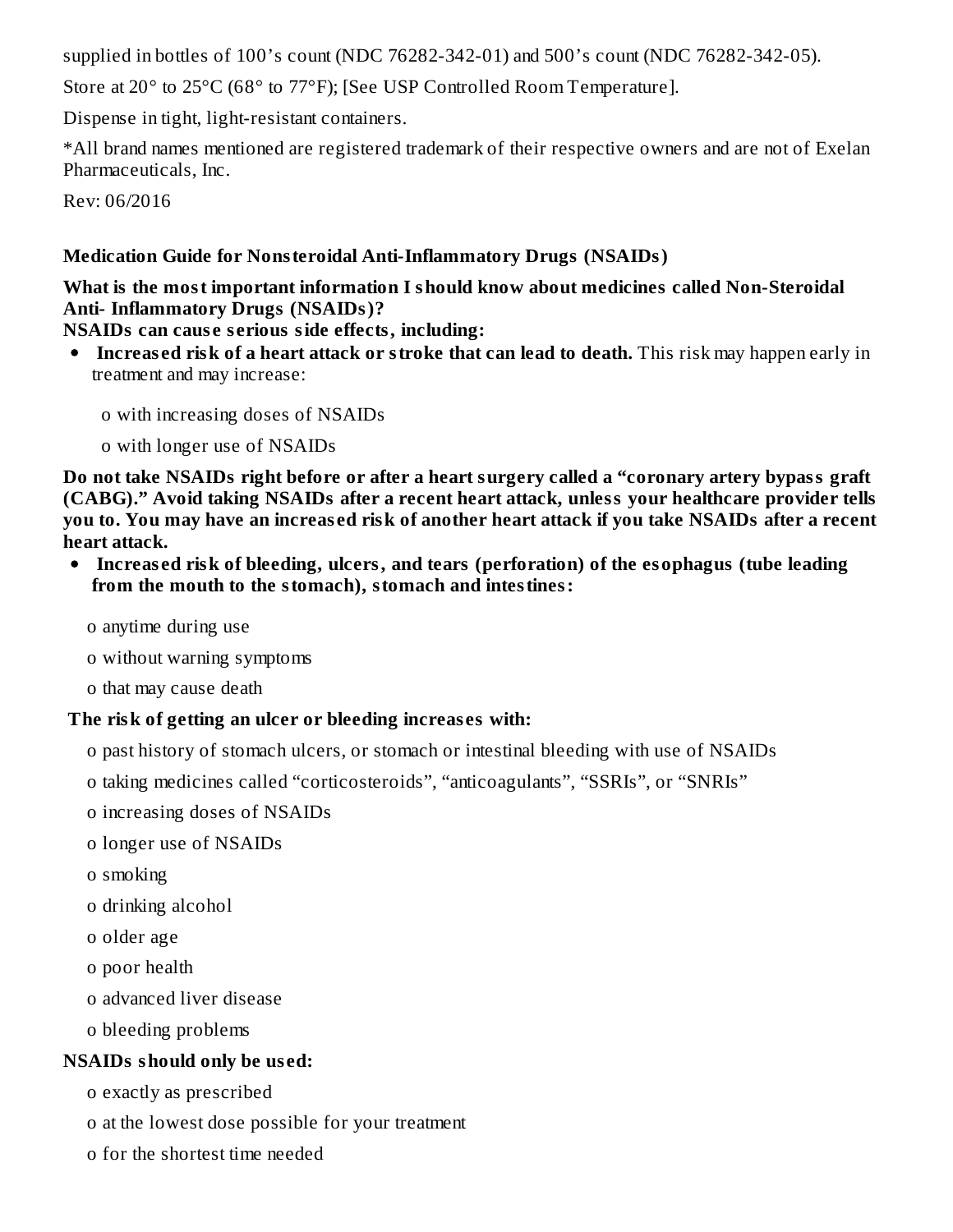supplied in bottles of 100's count (NDC 76282-342-01) and 500's count (NDC 76282-342-05).

Store at 20° to 25°C (68° to 77°F); [See USP Controlled Room Temperature].

Dispense in tight, light-resistant containers.

\*All brand names mentioned are registered trademark of their respective owners and are not of Exelan Pharmaceuticals, Inc.

Rev: 06/2016

## **Medication Guide for Nonsteroidal Anti-Inflammatory Drugs (NSAIDs)**

## **What is the most important information I should know about medicines called Non-Steroidal Anti- Inflammatory Drugs (NSAIDs)?**

**NSAIDs can caus e s erious side effects, including:**

**Increas ed risk of a heart attack or stroke that can lead to death.** This risk may happen early in treatment and may increase:

o with increasing doses of NSAIDs

o with longer use of NSAIDs

**Do not take NSAIDs right before or after a heart surgery called a "coronary artery bypass graft (CABG)." Avoid taking NSAIDs after a recent heart attack, unless your healthcare provider tells** you to. You may have an increased risk of another heart attack if you take NSAIDs after a recent **heart attack.**

**Increas ed risk of bleeding, ulcers, and tears (perforation) of the esophagus (tube leading from the mouth to the stomach), stomach and intestines:**

o anytime during use

o without warning symptoms

o that may cause death

### **The risk of getting an ulcer or bleeding increas es with:**

o past history of stomach ulcers, or stomach or intestinal bleeding with use of NSAIDs

o taking medicines called "corticosteroids", "anticoagulants", "SSRIs", or "SNRIs"

o increasing doses of NSAIDs

o longer use of NSAIDs

o smoking

o drinking alcohol

o older age

o poor health

o advanced liver disease

o bleeding problems

### **NSAIDs should only be us ed:**

o exactly as prescribed

- o at the lowest dose possible for your treatment
- o for the shortest time needed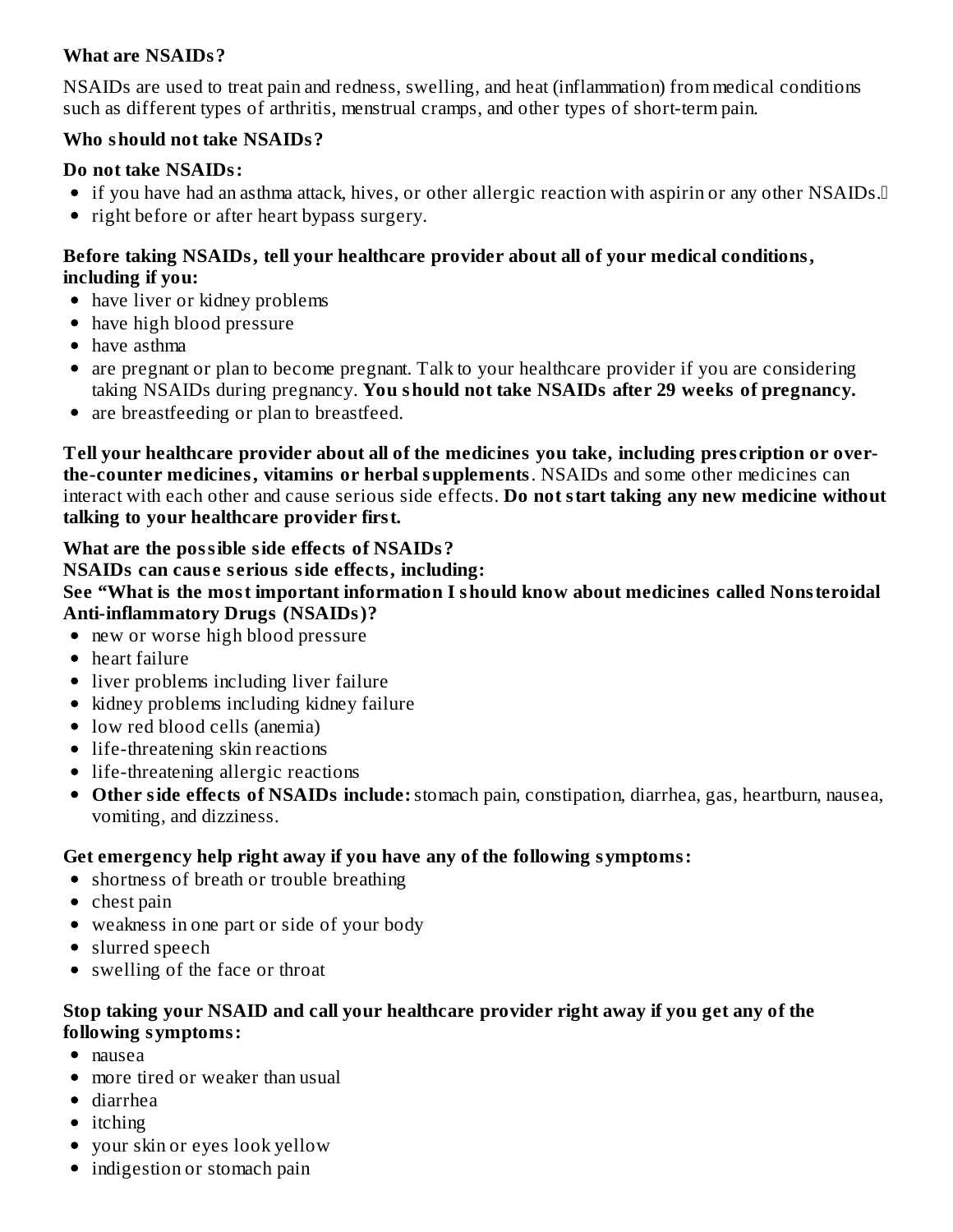### **What are NSAIDs?**

NSAIDs are used to treat pain and redness, swelling, and heat (inflammation) from medical conditions such as different types of arthritis, menstrual cramps, and other types of short-term pain.

### **Who should not take NSAIDs?**

### **Do not take NSAIDs:**

- if you have had an asthma attack, hives, or other allergic reaction with aspirin or any other NSAIDs.<sup>[]</sup>
- right before or after heart bypass surgery.

### **Before taking NSAIDs, tell your healthcare provider about all of your medical conditions, including if you:**

- have liver or kidney problems
- have high blood pressure
- have asthma
- are pregnant or plan to become pregnant. Talk to your healthcare provider if you are considering taking NSAIDs during pregnancy. **You should not take NSAIDs after 29 weeks of pregnancy.**
- are breastfeeding or plan to breastfeed.

**Tell your healthcare provider about all of the medicines you take, including pres cription or overthe-counter medicines, vitamins or herbal supplements**. NSAIDs and some other medicines can interact with each other and cause serious side effects. **Do not start taking any new medicine without talking to your healthcare provider first.**

### **What are the possible side effects of NSAIDs?**

### **NSAIDs can caus e s erious side effects, including:**

**See "What is the most important information I should know about medicines called Nonsteroidal Anti-inflammatory Drugs (NSAIDs)?**

- new or worse high blood pressure
- heart failure
- liver problems including liver failure
- $\bullet$  kidney problems including kidney failure
- low red blood cells (anemia)
- life-threatening skin reactions
- life-threatening allergic reactions
- **Other side effects of NSAIDs include:**stomach pain, constipation, diarrhea, gas, heartburn, nausea, vomiting, and dizziness.

### **Get emergency help right away if you have any of the following symptoms:**

- shortness of breath or trouble breathing
- chest pain
- weakness in one part or side of your body
- slurred speech
- swelling of the face or throat

### **Stop taking your NSAID and call your healthcare provider right away if you get any of the following symptoms:**

- nausea
- more tired or weaker than usual
- diarrhea
- itching
- your skin or eyes look yellow
- indigestion or stomach pain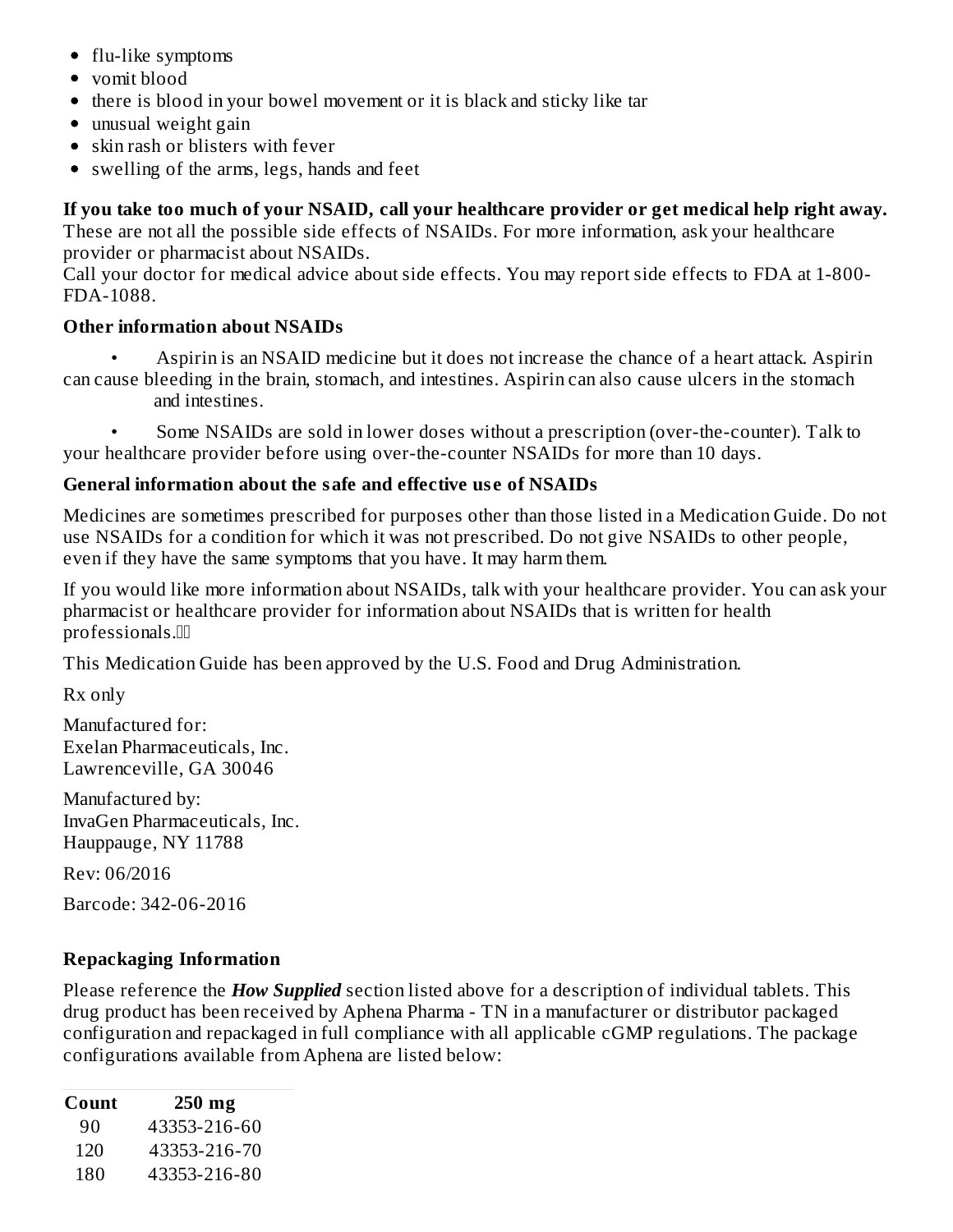- flu-like symptoms
- vomit blood
- there is blood in your bowel movement or it is black and sticky like tar
- unusual weight gain
- skin rash or blisters with fever
- swelling of the arms, legs, hands and feet

# **If you take too much of your NSAID, call your healthcare provider or get medical help right away.**

These are not all the possible side effects of NSAIDs. For more information, ask your healthcare provider or pharmacist about NSAIDs.

Call your doctor for medical advice about side effects. You may report side effects to FDA at 1-800- FDA-1088.

# **Other information about NSAIDs**

• Aspirin is an NSAID medicine but it does not increase the chance of a heart attack. Aspirin can cause bleeding in the brain, stomach, and intestines. Aspirin can also cause ulcers in the stomach and intestines.

• Some NSAIDs are sold in lower doses without a prescription (over-the-counter). Talk to your healthcare provider before using over-the-counter NSAIDs for more than 10 days.

### **General information about the safe and effective us e of NSAIDs**

Medicines are sometimes prescribed for purposes other than those listed in a Medication Guide. Do not use NSAIDs for a condition for which it was not prescribed. Do not give NSAIDs to other people, even if they have the same symptoms that you have. It may harm them.

If you would like more information about NSAIDs, talk with your healthcare provider. You can ask your pharmacist or healthcare provider for information about NSAIDs that is written for health professionals.

This Medication Guide has been approved by the U.S. Food and Drug Administration.

Rx only

Manufactured for: Exelan Pharmaceuticals, Inc. Lawrenceville, GA 30046

Manufactured by: InvaGen Pharmaceuticals, Inc. Hauppauge, NY 11788

Rev: 06/2016

Barcode: 342-06-2016

# **Repackaging Information**

Please reference the *How Supplied* section listed above for a description of individual tablets. This drug product has been received by Aphena Pharma - TN in a manufacturer or distributor packaged configuration and repackaged in full compliance with all applicable cGMP regulations. The package configurations available from Aphena are listed below:

| Count | $250$ mg     |
|-------|--------------|
| 90    | 43353-216-60 |
| 120   | 43353-216-70 |
| 180   | 43353-216-80 |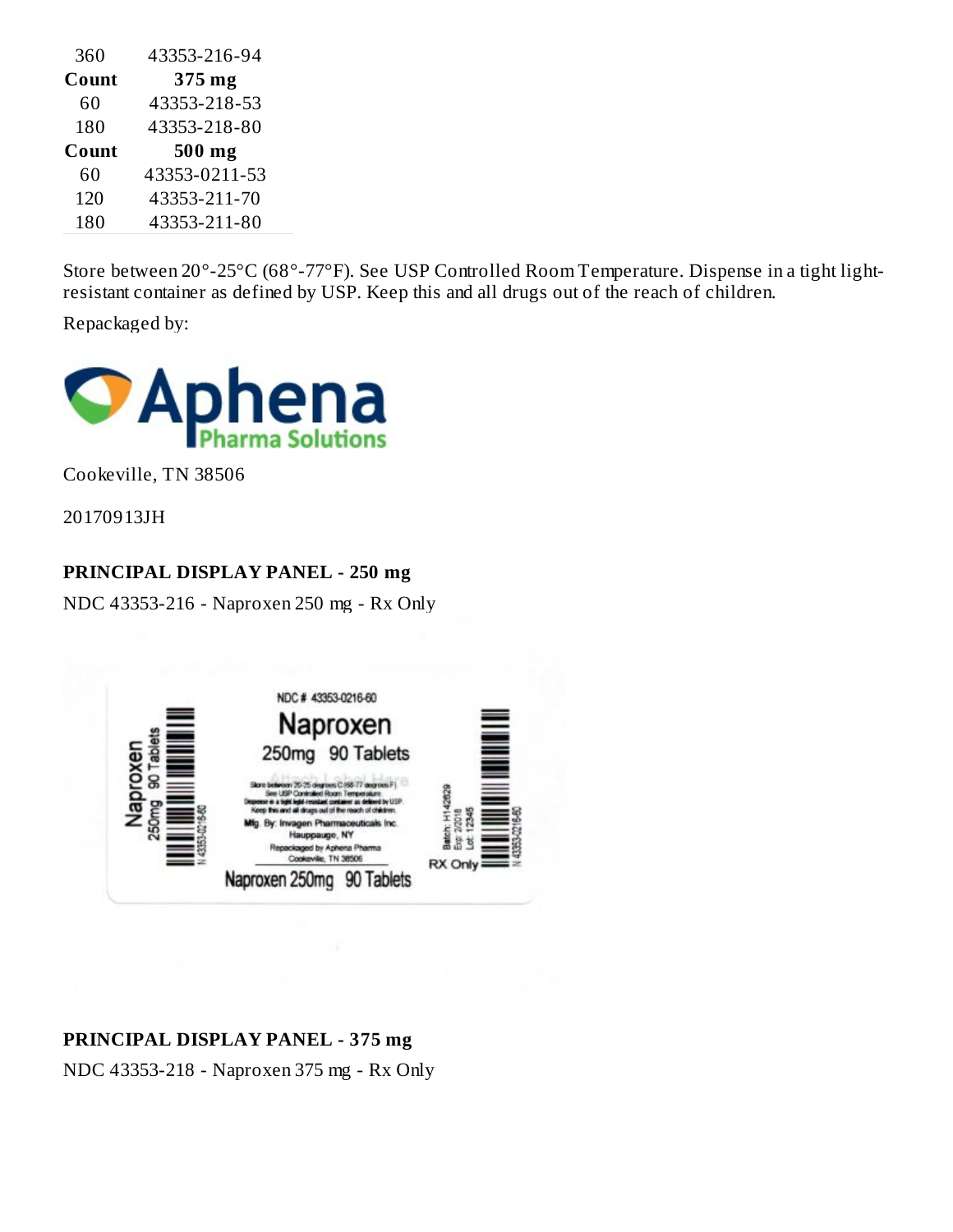| 360   | 43353-216-94  |
|-------|---------------|
| Count | 375 mg        |
| 60    | 43353-218-53  |
| 180   | 43353-218-80  |
|       |               |
| Count | 500 mg        |
| 60    | 43353-0211-53 |
| 120   | 43353-211-70  |

Store between 20°-25°C (68°-77°F). See USP Controlled Room Temperature. Dispense in a tight lightresistant container as defined by USP. Keep this and all drugs out of the reach of children.

Repackaged by:



Cookeville, TN 38506

20170913JH

# **PRINCIPAL DISPLAY PANEL - 250 mg**

NDC 43353-216 - Naproxen 250 mg - Rx Only



# **PRINCIPAL DISPLAY PANEL - 375 mg**

NDC 43353-218 - Naproxen 375 mg - Rx Only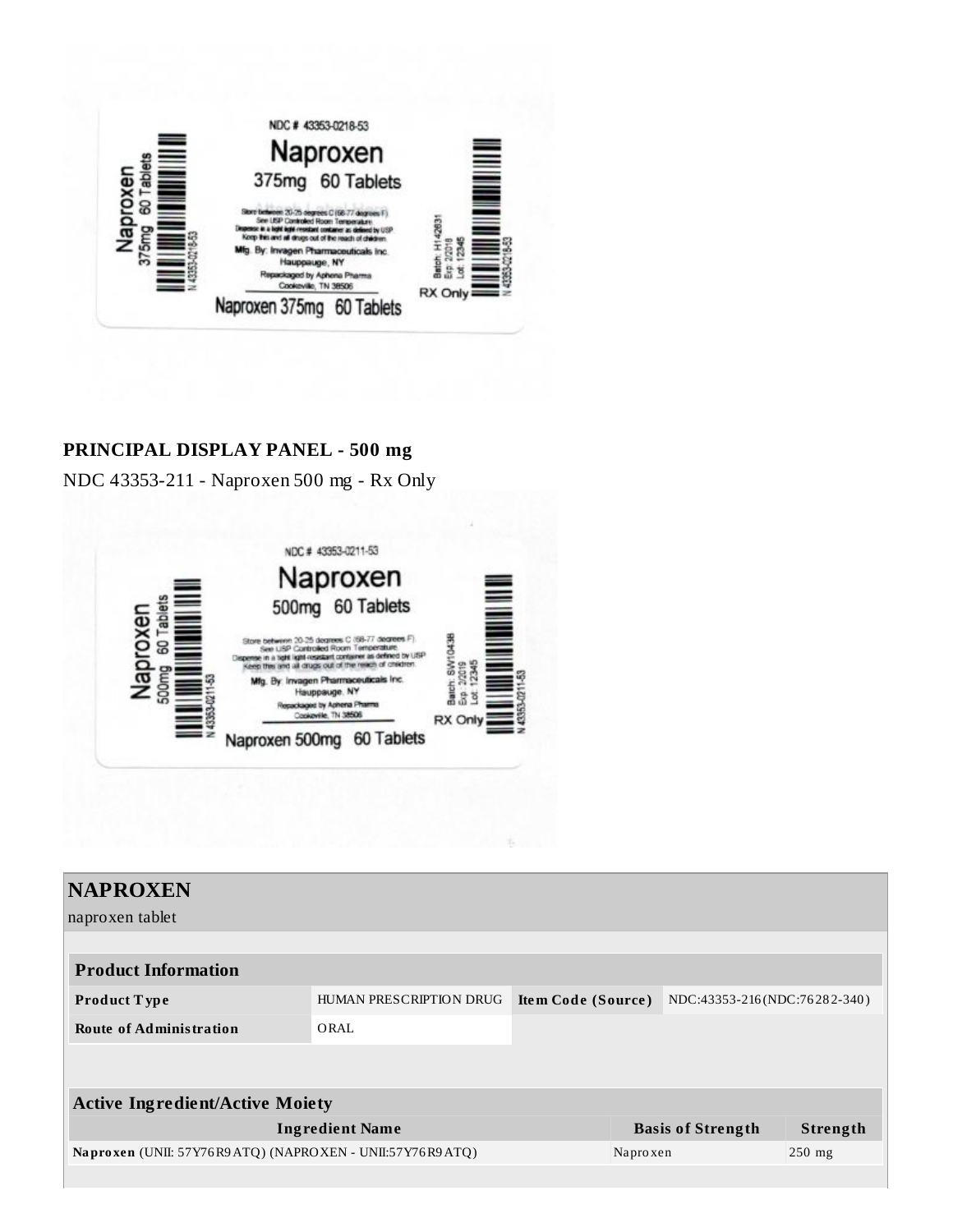

## **PRINCIPAL DISPLAY PANEL - 500 mg**

NDC 43353-211 - Naproxen 500 mg - Rx Only



| <b>NAPROXEN</b>                                          |                         |                    |          |                              |          |
|----------------------------------------------------------|-------------------------|--------------------|----------|------------------------------|----------|
|                                                          |                         |                    |          |                              |          |
| naproxen tablet                                          |                         |                    |          |                              |          |
|                                                          |                         |                    |          |                              |          |
| <b>Product Information</b>                               |                         |                    |          |                              |          |
| <b>Product Type</b>                                      | HUMAN PRESCRIPTION DRUG | Item Code (Source) |          | NDC:43353-216(NDC:76282-340) |          |
| <b>Route of Administration</b>                           | ORAL                    |                    |          |                              |          |
|                                                          |                         |                    |          |                              |          |
| <b>Active Ingredient/Active Moiety</b>                   |                         |                    |          |                              |          |
|                                                          | <b>Ingredient Name</b>  |                    |          | <b>Basis of Strength</b>     | Strength |
| Naproxen (UNII: 57Y76R9ATQ) (NAPROXEN - UNII:57Y76R9ATQ) |                         |                    | Naproxen |                              | $250$ mg |
|                                                          |                         |                    |          |                              |          |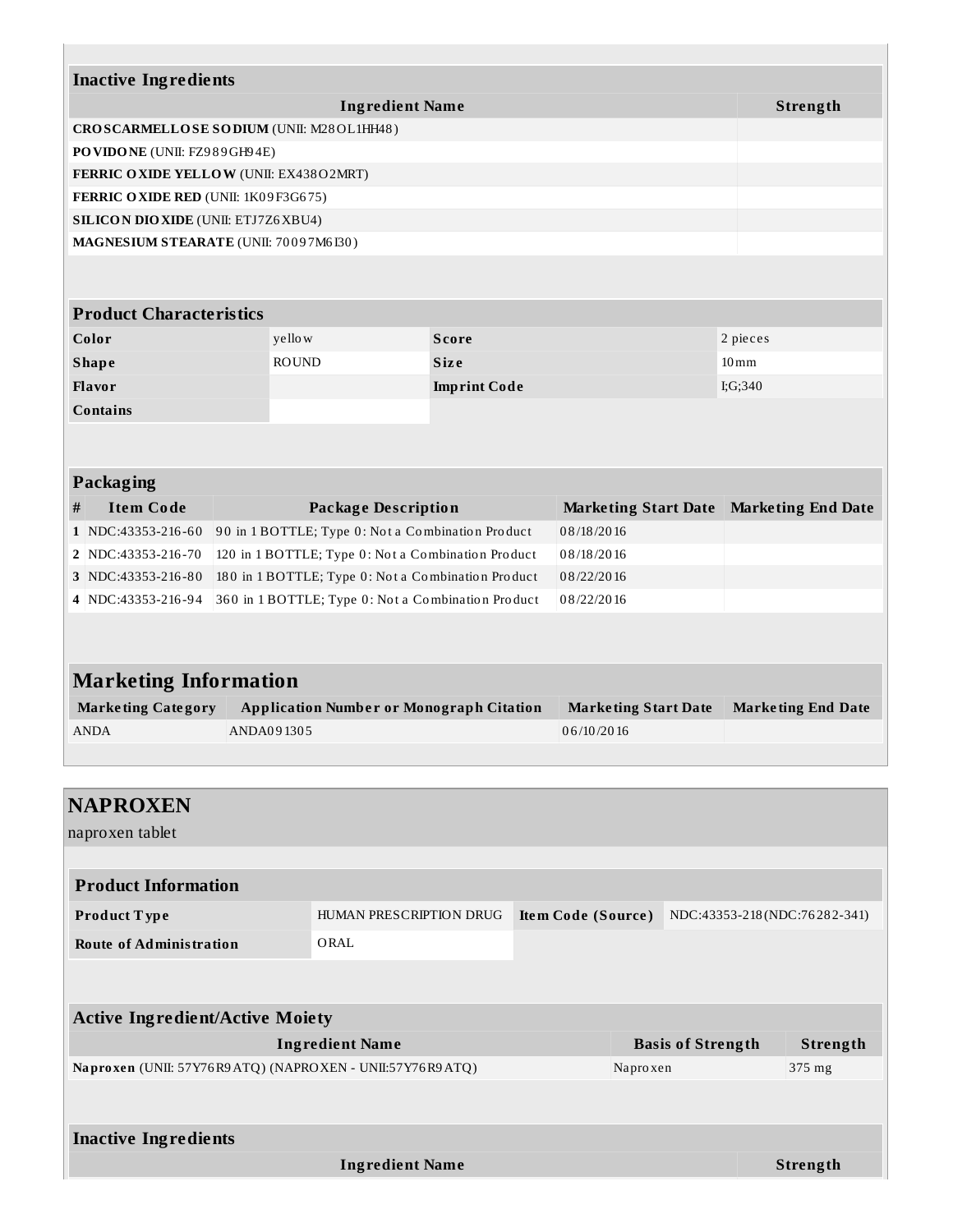| <b>Inactive Ingredients</b>                |                        |                     |                    |  |
|--------------------------------------------|------------------------|---------------------|--------------------|--|
|                                            | <b>Ingredient Name</b> |                     | Strength           |  |
| CROSCARMELLOSE SODIUM (UNII: M28OL1HH48)   |                        |                     |                    |  |
| <b>PO VIDONE</b> (UNII: FZ989GH94E)        |                        |                     |                    |  |
| FERRIC OXIDE YELLOW (UNII: EX438O2MRT)     |                        |                     |                    |  |
| FERRIC OXIDE RED (UNII: 1K09F3G675)        |                        |                     |                    |  |
| <b>SILICON DIO XIDE (UNII: ETJ7Z6XBU4)</b> |                        |                     |                    |  |
| MAGNESIUM STEARATE (UNII: 70097M6I30)      |                        |                     |                    |  |
|                                            |                        |                     |                    |  |
|                                            |                        |                     |                    |  |
| <b>Product Characteristics</b>             |                        |                     |                    |  |
| Color                                      | yello w                | <b>Score</b>        | 2 pieces           |  |
| <b>Shape</b>                               | <b>ROUND</b>           | <b>Size</b>         | $10 \,\mathrm{mm}$ |  |
| <b>Flavor</b>                              |                        | <b>Imprint Code</b> | I; G; 340          |  |
| <b>Contains</b>                            |                        |                     |                    |  |

#### **Packaging**

U.

| # | Item Code          | <b>Package Description</b>                                            | Marketing Start Date Marketing End Date |  |  |  |  |  |
|---|--------------------|-----------------------------------------------------------------------|-----------------------------------------|--|--|--|--|--|
|   | 1 NDC:43353-216-60 | 90 in 1 BOTTLE; Type 0: Not a Combination Product                     | 08/18/2016                              |  |  |  |  |  |
|   | 2 NDC:43353-216-70 | 120 in 1 BOTTLE; Type 0: Not a Combination Product                    | 08/18/2016                              |  |  |  |  |  |
|   | 3 NDC:43353-216-80 | 180 in 1 BOTTLE; Type 0: Not a Combination Product                    | 08/22/2016                              |  |  |  |  |  |
|   |                    | 4 NDC:43353-216-94 360 in 1 BOTTLE; Type 0: Not a Combination Product | 08/22/2016                              |  |  |  |  |  |

# **Marketing Information**

| <b>Marketing Category</b> | <b>Application Number or Monograph Citation</b> | <b>Marketing Start Date</b> | <b>Marketing End Date</b> |
|---------------------------|-------------------------------------------------|-----------------------------|---------------------------|
| <b>ANDA</b>               | ANDA091305                                      | 06/10/2016                  |                           |
|                           |                                                 |                             |                           |

| <b>NAPROXEN</b>                                          |                         |                    |                          |  |                              |  |
|----------------------------------------------------------|-------------------------|--------------------|--------------------------|--|------------------------------|--|
| naproxen tablet                                          |                         |                    |                          |  |                              |  |
|                                                          |                         |                    |                          |  |                              |  |
| <b>Product Information</b>                               |                         |                    |                          |  |                              |  |
| Product Type                                             | HUMAN PRESCRIPTION DRUG | Item Code (Source) |                          |  | NDC:43353-218(NDC:76282-341) |  |
| <b>Route of Administration</b>                           | ORAL                    |                    |                          |  |                              |  |
|                                                          |                         |                    |                          |  |                              |  |
| <b>Active Ingredient/Active Moiety</b>                   |                         |                    |                          |  |                              |  |
|                                                          | <b>Ingredient Name</b>  |                    | <b>Basis of Strength</b> |  | <b>Strength</b>              |  |
| Naproxen (UNII: 57Y76R9ATQ) (NAPROXEN - UNII:57Y76R9ATQ) |                         |                    | Naproxen                 |  | 375 mg                       |  |
|                                                          |                         |                    |                          |  |                              |  |
| <b>Inactive Ingredients</b>                              |                         |                    |                          |  |                              |  |
|                                                          | <b>Ingredient Name</b>  |                    |                          |  | <b>Strength</b>              |  |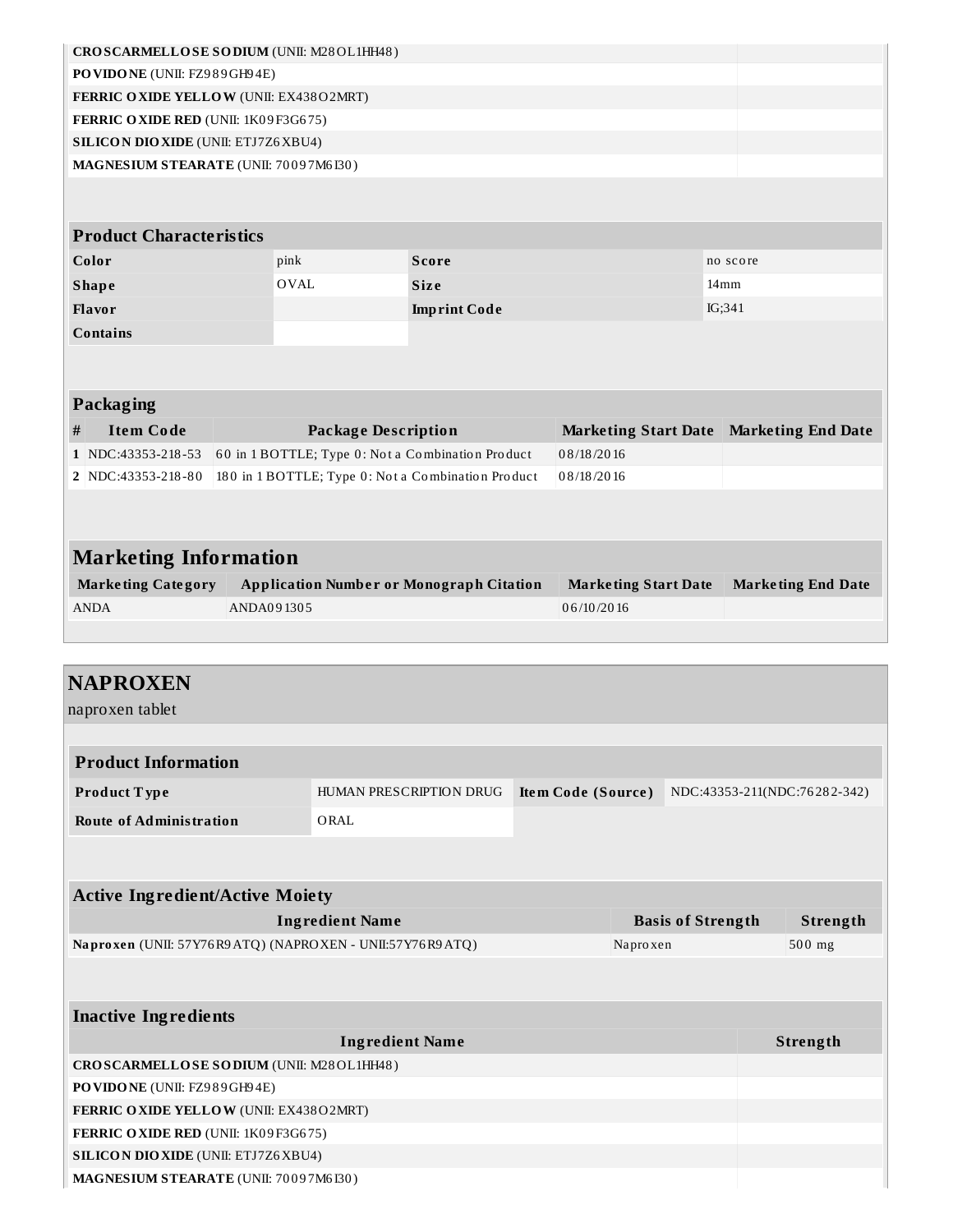|                 | CROSCARMELLOSE SODIUM (UNII: M28OL1HH48)    |  |                            |                                                    |                             |                           |  |  |
|-----------------|---------------------------------------------|--|----------------------------|----------------------------------------------------|-----------------------------|---------------------------|--|--|
|                 | PO VIDO NE (UNII: FZ989GH94E)               |  |                            |                                                    |                             |                           |  |  |
|                 | FERRIC OXIDE YELLOW (UNII: EX438O2MRT)      |  |                            |                                                    |                             |                           |  |  |
|                 | FERRIC OXIDE RED (UNII: 1K09F3G675)         |  |                            |                                                    |                             |                           |  |  |
|                 | <b>SILICON DIO XIDE (UNII: ETJ7Z6 XBU4)</b> |  |                            |                                                    |                             |                           |  |  |
|                 | MAGNESIUM STEARATE (UNII: 70097M6I30)       |  |                            |                                                    |                             |                           |  |  |
|                 |                                             |  |                            |                                                    |                             |                           |  |  |
|                 | <b>Product Characteristics</b>              |  |                            |                                                    |                             |                           |  |  |
|                 | Color                                       |  | pink                       | Score                                              |                             | no score                  |  |  |
|                 | <b>Shape</b>                                |  | <b>OVAL</b>                | <b>Size</b>                                        |                             | 14mm                      |  |  |
|                 | Flavor                                      |  |                            | <b>Imprint Code</b>                                |                             |                           |  |  |
| <b>Contains</b> |                                             |  |                            |                                                    |                             |                           |  |  |
|                 |                                             |  |                            |                                                    |                             |                           |  |  |
|                 |                                             |  |                            |                                                    |                             |                           |  |  |
|                 |                                             |  |                            |                                                    |                             |                           |  |  |
|                 | <b>Packaging</b>                            |  |                            |                                                    |                             |                           |  |  |
| #               | <b>Item Code</b>                            |  | <b>Package Description</b> |                                                    | <b>Marketing Start Date</b> | <b>Marketing End Date</b> |  |  |
|                 | 1 NDC:43353-218-53                          |  |                            | 60 in 1 BOTTLE; Type 0: Not a Combination Product  | 08/18/2016                  |                           |  |  |
|                 | 2 NDC:43353-218-80                          |  |                            | 180 in 1 BOTTLE; Type 0: Not a Combination Product | 08/18/2016                  |                           |  |  |
|                 |                                             |  |                            |                                                    |                             |                           |  |  |
|                 |                                             |  |                            |                                                    |                             |                           |  |  |
|                 | <b>Marketing Information</b>                |  |                            |                                                    |                             |                           |  |  |
|                 | <b>Marketing Category</b>                   |  |                            | <b>Application Number or Monograph Citation</b>    | <b>Marketing Start Date</b> | <b>Marketing End Date</b> |  |  |
|                 | <b>ANDA</b>                                 |  | ANDA091305                 |                                                    | 06/10/2016                  |                           |  |  |
|                 |                                             |  |                            |                                                    |                             |                           |  |  |

| <b>NAPROXEN</b>                                                      |                                                                |                    |  |  |  |                              |  |  |
|----------------------------------------------------------------------|----------------------------------------------------------------|--------------------|--|--|--|------------------------------|--|--|
| naproxen tablet                                                      |                                                                |                    |  |  |  |                              |  |  |
|                                                                      |                                                                |                    |  |  |  |                              |  |  |
| <b>Product Information</b>                                           |                                                                |                    |  |  |  |                              |  |  |
| Product Type                                                         | HUMAN PRESCRIPTION DRUG                                        | Item Code (Source) |  |  |  | NDC:43353-211(NDC:76282-342) |  |  |
| <b>Route of Administration</b>                                       | ORAL                                                           |                    |  |  |  |                              |  |  |
|                                                                      |                                                                |                    |  |  |  |                              |  |  |
|                                                                      |                                                                |                    |  |  |  |                              |  |  |
| <b>Active Ingredient/Active Moiety</b>                               |                                                                |                    |  |  |  |                              |  |  |
|                                                                      | <b>Ingredient Name</b><br><b>Basis of Strength</b><br>Strength |                    |  |  |  |                              |  |  |
| Naproxen (UNII: 57Y76R9ATQ) (NAPROXEN - UNII:57Y76R9ATQ)<br>Naproxen |                                                                |                    |  |  |  | 500 mg                       |  |  |
|                                                                      |                                                                |                    |  |  |  |                              |  |  |
| <b>Inactive Ingredients</b>                                          |                                                                |                    |  |  |  |                              |  |  |
|                                                                      |                                                                |                    |  |  |  |                              |  |  |
|                                                                      | <b>Ingredient Name</b>                                         |                    |  |  |  | Strength                     |  |  |
| CROSCARMELLOSE SODIUM (UNII: M28OL1HH48)                             |                                                                |                    |  |  |  |                              |  |  |
| PO VIDO NE (UNII: FZ989GH94E)                                        |                                                                |                    |  |  |  |                              |  |  |
| FERRIC OXIDE YELLOW (UNII: EX438O2MRT)                               |                                                                |                    |  |  |  |                              |  |  |
| FERRIC OXIDE RED (UNII: 1K09F3G675)                                  |                                                                |                    |  |  |  |                              |  |  |
| <b>SILICON DIO XIDE (UNII: ETJ7Z6 XBU4)</b>                          |                                                                |                    |  |  |  |                              |  |  |
| MAGNESIUM STEARATE (UNII: 70097M6I30)                                |                                                                |                    |  |  |  |                              |  |  |